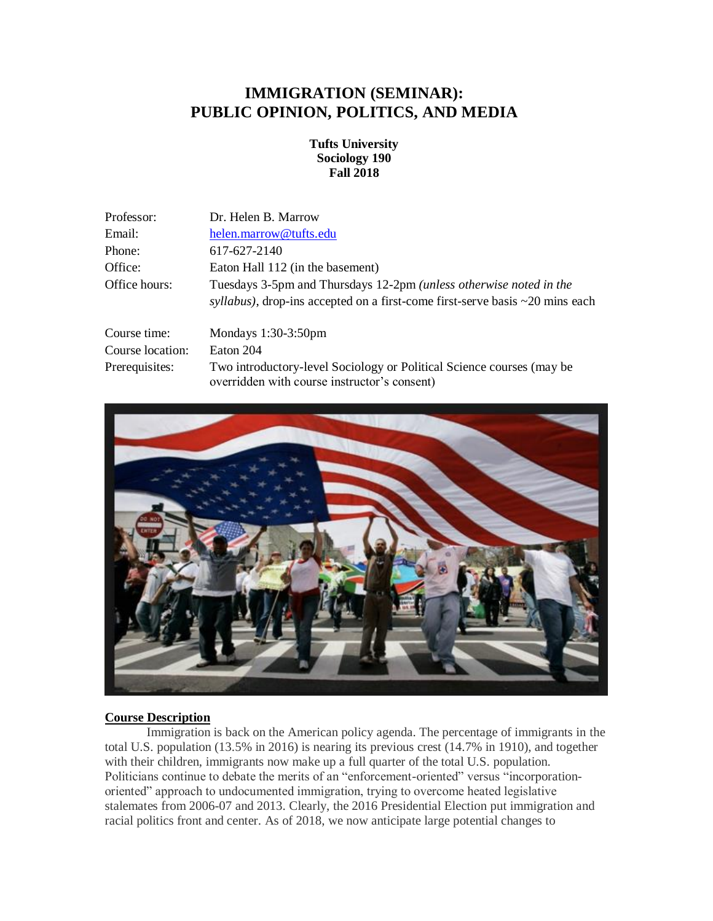# **IMMIGRATION (SEMINAR): PUBLIC OPINION, POLITICS, AND MEDIA**

### **Tufts University Sociology 190 Fall 2018**

| Professor:       | Dr. Helen B. Marrow                                                                                                                                              |
|------------------|------------------------------------------------------------------------------------------------------------------------------------------------------------------|
| Email:           | helen.marrow@tufts.edu                                                                                                                                           |
| Phone:           | 617-627-2140                                                                                                                                                     |
| Office:          | Eaton Hall 112 (in the basement)                                                                                                                                 |
| Office hours:    | Tuesdays 3-5pm and Thursdays 12-2pm ( <i>unless otherwise noted in the</i><br>syllabus), drop-ins accepted on a first-come first-serve basis $\sim$ 20 mins each |
| Course time:     | Mondays $1:30-3:50$ pm                                                                                                                                           |
| Course location: | Eaton 204                                                                                                                                                        |
| Prerequisites:   | Two introductory-level Sociology or Political Science courses (may be<br>overridden with course instructor's consent)                                            |



#### **Course Description**

Immigration is back on the American policy agenda. The percentage of immigrants in the total U.S. population (13.5% in 2016) is nearing its previous crest (14.7% in 1910), and together with their children, immigrants now make up a full quarter of the total U.S. population. Politicians continue to debate the merits of an "enforcement-oriented" versus "incorporationoriented" approach to undocumented immigration, trying to overcome heated legislative stalemates from 2006-07 and 2013. Clearly, the 2016 Presidential Election put immigration and racial politics front and center. As of 2018, we now anticipate large potential changes to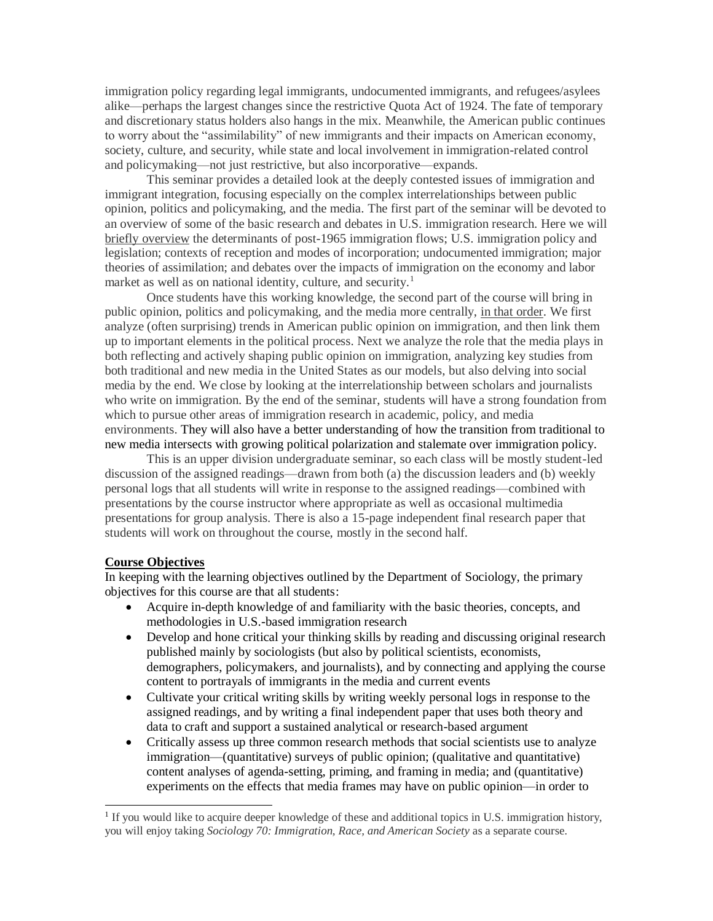immigration policy regarding legal immigrants, undocumented immigrants, and refugees/asylees alike—perhaps the largest changes since the restrictive Quota Act of 1924. The fate of temporary and discretionary status holders also hangs in the mix. Meanwhile, the American public continues to worry about the "assimilability" of new immigrants and their impacts on American economy, society, culture, and security, while state and local involvement in immigration-related control and policymaking—not just restrictive, but also incorporative—expands.

This seminar provides a detailed look at the deeply contested issues of immigration and immigrant integration, focusing especially on the complex interrelationships between public opinion, politics and policymaking, and the media. The first part of the seminar will be devoted to an overview of some of the basic research and debates in U.S. immigration research. Here we will briefly overview the determinants of post-1965 immigration flows; U.S. immigration policy and legislation; contexts of reception and modes of incorporation; undocumented immigration; major theories of assimilation; and debates over the impacts of immigration on the economy and labor market as well as on national identity, culture, and security.<sup>1</sup>

Once students have this working knowledge, the second part of the course will bring in public opinion, politics and policymaking, and the media more centrally, in that order. We first analyze (often surprising) trends in American public opinion on immigration, and then link them up to important elements in the political process. Next we analyze the role that the media plays in both reflecting and actively shaping public opinion on immigration, analyzing key studies from both traditional and new media in the United States as our models, but also delving into social media by the end. We close by looking at the interrelationship between scholars and journalists who write on immigration. By the end of the seminar, students will have a strong foundation from which to pursue other areas of immigration research in academic, policy, and media environments. They will also have a better understanding of how the transition from traditional to new media intersects with growing political polarization and stalemate over immigration policy.

This is an upper division undergraduate seminar, so each class will be mostly student-led discussion of the assigned readings—drawn from both (a) the discussion leaders and (b) weekly personal logs that all students will write in response to the assigned readings—combined with presentations by the course instructor where appropriate as well as occasional multimedia presentations for group analysis. There is also a 15-page independent final research paper that students will work on throughout the course, mostly in the second half.

#### **Course Objectives**

l

In keeping with the learning objectives outlined by the Department of Sociology, the primary objectives for this course are that all students:

- Acquire in-depth knowledge of and familiarity with the basic theories, concepts, and methodologies in U.S.-based immigration research
- Develop and hone critical your thinking skills by reading and discussing original research published mainly by sociologists (but also by political scientists, economists, demographers, policymakers, and journalists), and by connecting and applying the course content to portrayals of immigrants in the media and current events
- Cultivate your critical writing skills by writing weekly personal logs in response to the assigned readings, and by writing a final independent paper that uses both theory and data to craft and support a sustained analytical or research-based argument
- Critically assess up three common research methods that social scientists use to analyze immigration—(quantitative) surveys of public opinion; (qualitative and quantitative) content analyses of agenda-setting, priming, and framing in media; and (quantitative) experiments on the effects that media frames may have on public opinion—in order to

<sup>&</sup>lt;sup>1</sup> If you would like to acquire deeper knowledge of these and additional topics in U.S. immigration history, you will enjoy taking *Sociology 70: Immigration, Race, and American Society* as a separate course.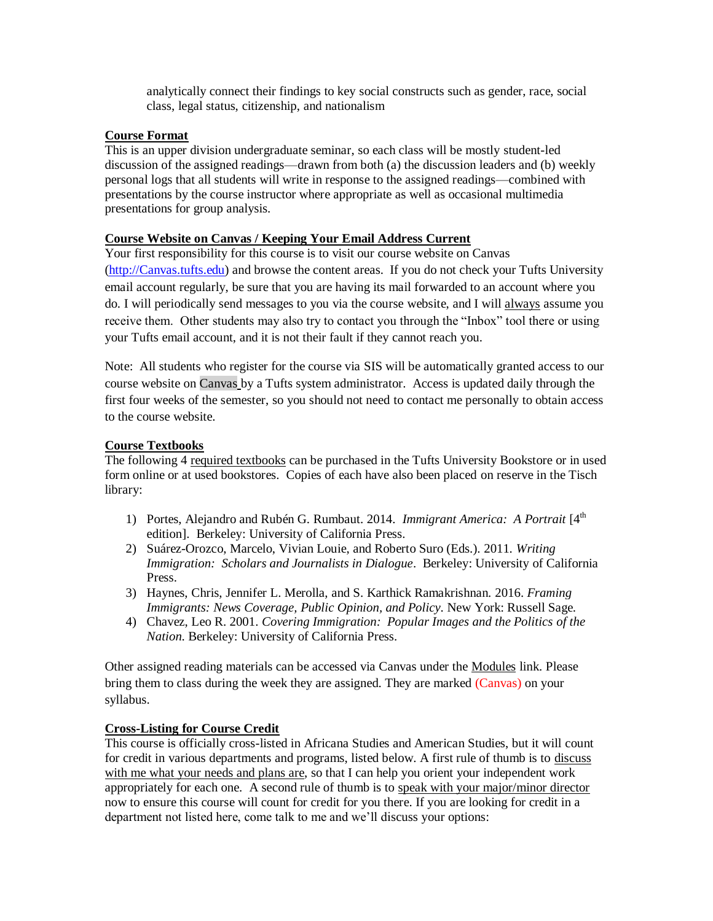analytically connect their findings to key social constructs such as gender, race, social class, legal status, citizenship, and nationalism

## **Course Format**

This is an upper division undergraduate seminar, so each class will be mostly student-led discussion of the assigned readings—drawn from both (a) the discussion leaders and (b) weekly personal logs that all students will write in response to the assigned readings—combined with presentations by the course instructor where appropriate as well as occasional multimedia presentations for group analysis.

# **Course Website on Canvas / Keeping Your Email Address Current**

Your first responsibility for this course is to visit our course website on Canvas [\(http://Canvas.tufts.edu\)](http://trunk.tufts.edu/) and browse the content areas. If you do not check your Tufts University email account regularly, be sure that you are having its mail forwarded to an account where you do. I will periodically send messages to you via the course website, and I will always assume you receive them. Other students may also try to contact you through the "Inbox" tool there or using your Tufts email account, and it is not their fault if they cannot reach you.

Note: All students who register for the course via SIS will be automatically granted access to our course website on Canvas by a Tufts system administrator. Access is updated daily through the first four weeks of the semester, so you should not need to contact me personally to obtain access to the course website.

## **Course Textbooks**

The following 4 required textbooks can be purchased in the Tufts University Bookstore or in used form online or at used bookstores. Copies of each have also been placed on reserve in the Tisch library:

- 1) Portes, Alejandro and Rubén G. Rumbaut. 2014. *Immigrant America: A Portrait* [4th edition]. Berkeley: University of California Press.
- 2) Suárez-Orozco, Marcelo, Vivian Louie, and Roberto Suro (Eds.). 2011. *[Writing](http://www.ucpress.edu/book.php?isbn=9780520267183)  Immigration: [Scholars and Journalists in Dialogue](http://www.ucpress.edu/book.php?isbn=9780520267183)*. Berkeley: University of California Press.
- 3) Haynes, Chris, Jennifer L. Merolla, and S. Karthick Ramakrishnan. 2016. *[Framing](https://www.amazon.com/Framing-Immigrants-Coverage-Public-Opinion/dp/0871545330) [Immigrants:](https://www.amazon.com/Framing-Immigrants-Coverage-Public-Opinion/dp/0871545330) News Coverage, Public Opinion, and Policy*. New York: Russell Sage.
- 4) Chavez, Leo R. 2001. *Covering Immigration: Popular Images and the Politics of the Nation*. Berkeley: University of California Press.

Other assigned reading materials can be accessed via Canvas under the Modules link. Please bring them to class during the week they are assigned. They are marked (Canvas) on your syllabus.

# **Cross-Listing for Course Credit**

This course is officially cross-listed in Africana Studies and American Studies, but it will count for credit in various departments and programs, listed below. A first rule of thumb is to discuss with me what your needs and plans are, so that I can help you orient your independent work appropriately for each one. A second rule of thumb is to speak with your major/minor director now to ensure this course will count for credit for you there. If you are looking for credit in a department not listed here, come talk to me and we'll discuss your options: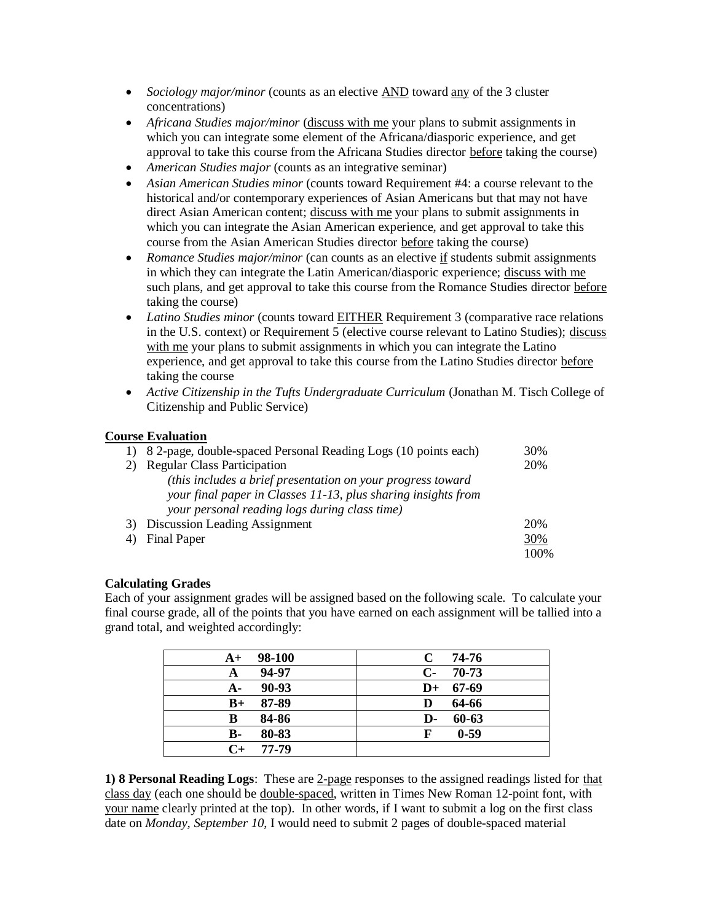- *Sociology major/minor* (counts as an elective AND toward any of the 3 cluster concentrations)
- *Africana Studies major/minor* (discuss with me your plans to submit assignments in which you can integrate some element of the Africana/diasporic experience, and get approval to take this course from the Africana Studies director before taking the course)
- *American Studies major* (counts as an integrative seminar)
- *Asian American Studies minor* (counts toward Requirement #4: a course relevant to the historical and/or contemporary experiences of Asian Americans but that may not have direct Asian American content; discuss with me your plans to submit assignments in which you can integrate the Asian American experience, and get approval to take this course from the Asian American Studies director before taking the course)
- *Romance Studies major/minor* (can counts as an elective if students submit assignments in which they can integrate the Latin American/diasporic experience; discuss with me such plans, and get approval to take this course from the Romance Studies director before taking the course)
- Latino Studies minor (counts toward EITHER Requirement 3 (comparative race relations in the U.S. context) or Requirement 5 (elective course relevant to Latino Studies); discuss with me your plans to submit assignments in which you can integrate the Latino experience, and get approval to take this course from the Latino Studies director before taking the course
- *Active Citizenship in the Tufts Undergraduate Curriculum* (Jonathan M. Tisch College of Citizenship and Public Service)

### **Course Evaluation**

|    | 1) 8 2-page, double-spaced Personal Reading Logs (10 points each) | 30%  |
|----|-------------------------------------------------------------------|------|
| 2) | <b>Regular Class Participation</b>                                | 20%  |
|    | (this includes a brief presentation on your progress toward       |      |
|    | your final paper in Classes 11-13, plus sharing insights from     |      |
|    | your personal reading logs during class time)                     |      |
| 3) | Discussion Leading Assignment                                     | 20%  |
|    | Final Paper                                                       | 30%  |
|    |                                                                   | 100% |

#### **Calculating Grades**

Each of your assignment grades will be assigned based on the following scale. To calculate your final course grade, all of the points that you have earned on each assignment will be tallied into a grand total, and weighted accordingly:

| 98-100             | 74-76         |
|--------------------|---------------|
| $A+$               | C             |
| 94-97              | $C-$          |
| A                  | $70-73$       |
| 90-93              | 67-69         |
| $A-$               | $\mathbf{D}+$ |
| 87-89              | 64-66         |
| $B+$               | D             |
| 84-86              | 60-63         |
| В                  | D-            |
| 80-83              | $0 - 59$      |
| В-                 | F             |
| 77-79<br>$C_{\pm}$ |               |
|                    |               |

**1) 8 Personal Reading Logs**: These are 2-page responses to the assigned readings listed for that class day (each one should be double-spaced, written in Times New Roman 12-point font, with your name clearly printed at the top). In other words, if I want to submit a log on the first class date on *Monday, September 10*, I would need to submit 2 pages of double-spaced material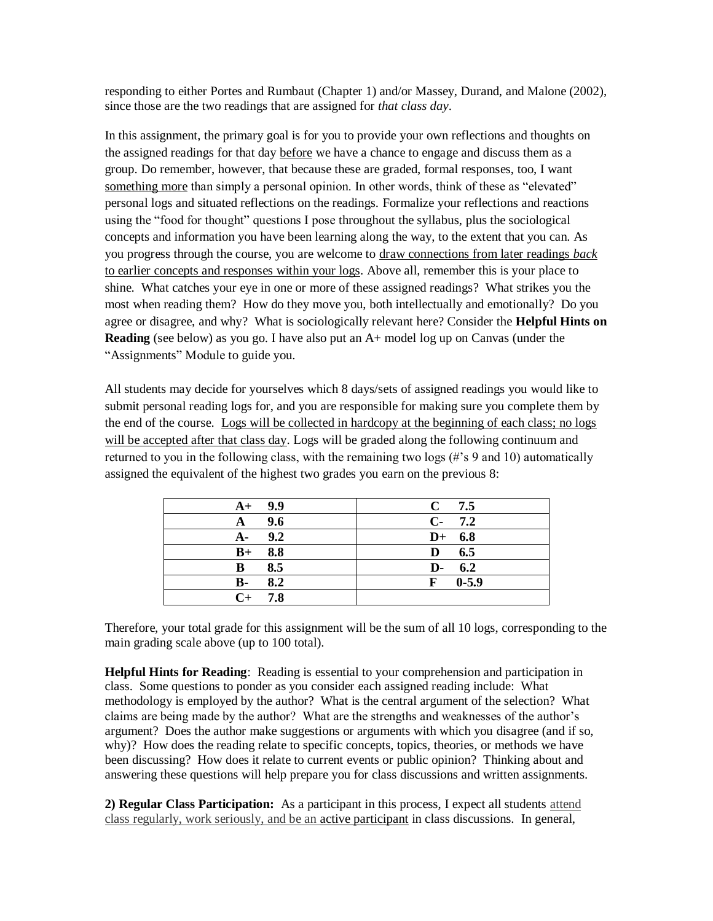responding to either Portes and Rumbaut (Chapter 1) and/or Massey, Durand, and Malone (2002), since those are the two readings that are assigned for *that class day*.

In this assignment, the primary goal is for you to provide your own reflections and thoughts on the assigned readings for that day before we have a chance to engage and discuss them as a group. Do remember, however, that because these are graded, formal responses, too, I want something more than simply a personal opinion. In other words, think of these as "elevated" personal logs and situated reflections on the readings. Formalize your reflections and reactions using the "food for thought" questions I pose throughout the syllabus, plus the sociological concepts and information you have been learning along the way, to the extent that you can. As you progress through the course, you are welcome to draw connections from later readings *back* to earlier concepts and responses within your logs. Above all, remember this is your place to shine. What catches your eye in one or more of these assigned readings? What strikes you the most when reading them? How do they move you, both intellectually and emotionally? Do you agree or disagree, and why? What is sociologically relevant here? Consider the **Helpful Hints on Reading** (see below) as you go. I have also put an A+ model log up on Canvas (under the "Assignments" Module to guide you.

All students may decide for yourselves which 8 days/sets of assigned readings you would like to submit personal reading logs for, and you are responsible for making sure you complete them by the end of the course. Logs will be collected in hardcopy at the beginning of each class; no logs will be accepted after that class day. Logs will be graded along the following continuum and returned to you in the following class, with the remaining two logs (#'s 9 and 10) automatically assigned the equivalent of the highest two grades you earn on the previous 8:

| $A+ 9.9$          | $C$ 7.5     |
|-------------------|-------------|
| 9.6<br>A          | $C-7.2$     |
| 9.2<br>$A-$       | $D+ 6.8$    |
| 8.8<br>$B+$       | 6.5<br>D    |
| 8.5<br>B          | $D-6.2$     |
| 8.2<br><b>B</b> - | $F = 0.5.9$ |
| $C_{+}$<br>7.8    |             |

Therefore, your total grade for this assignment will be the sum of all 10 logs, corresponding to the main grading scale above (up to 100 total).

**Helpful Hints for Reading**: Reading is essential to your comprehension and participation in class. Some questions to ponder as you consider each assigned reading include: What methodology is employed by the author? What is the central argument of the selection? What claims are being made by the author? What are the strengths and weaknesses of the author's argument? Does the author make suggestions or arguments with which you disagree (and if so, why)? How does the reading relate to specific concepts, topics, theories, or methods we have been discussing? How does it relate to current events or public opinion? Thinking about and answering these questions will help prepare you for class discussions and written assignments.

**2) Regular Class Participation:** As a participant in this process, I expect all students attend class regularly, work seriously, and be an active participant in class discussions. In general,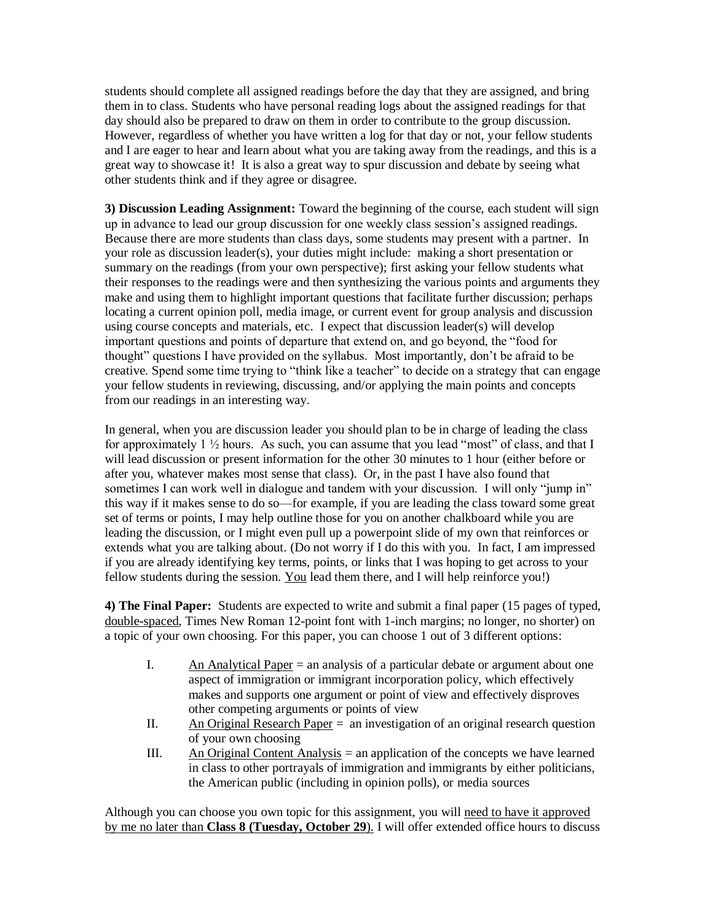students should complete all assigned readings before the day that they are assigned, and bring them in to class. Students who have personal reading logs about the assigned readings for that day should also be prepared to draw on them in order to contribute to the group discussion. However, regardless of whether you have written a log for that day or not, your fellow students and I are eager to hear and learn about what you are taking away from the readings, and this is a great way to showcase it! It is also a great way to spur discussion and debate by seeing what other students think and if they agree or disagree.

**3) Discussion Leading Assignment:** Toward the beginning of the course, each student will sign up in advance to lead our group discussion for one weekly class session's assigned readings. Because there are more students than class days, some students may present with a partner. In your role as discussion leader(s), your duties might include: making a short presentation or summary on the readings (from your own perspective); first asking your fellow students what their responses to the readings were and then synthesizing the various points and arguments they make and using them to highlight important questions that facilitate further discussion; perhaps locating a current opinion poll, media image, or current event for group analysis and discussion using course concepts and materials, etc. I expect that discussion leader(s) will develop important questions and points of departure that extend on, and go beyond, the "food for thought" questions I have provided on the syllabus. Most importantly, don't be afraid to be creative. Spend some time trying to "think like a teacher" to decide on a strategy that can engage your fellow students in reviewing, discussing, and/or applying the main points and concepts from our readings in an interesting way.

In general, when you are discussion leader you should plan to be in charge of leading the class for approximately  $1 \frac{1}{2}$  hours. As such, you can assume that you lead "most" of class, and that I will lead discussion or present information for the other 30 minutes to 1 hour (either before or after you, whatever makes most sense that class). Or, in the past I have also found that sometimes I can work well in dialogue and tandem with your discussion. I will only "jump in" this way if it makes sense to do so—for example, if you are leading the class toward some great set of terms or points, I may help outline those for you on another chalkboard while you are leading the discussion, or I might even pull up a powerpoint slide of my own that reinforces or extends what you are talking about. (Do not worry if I do this with you. In fact, I am impressed if you are already identifying key terms, points, or links that I was hoping to get across to your fellow students during the session. You lead them there, and I will help reinforce you!)

**4) The Final Paper:** Students are expected to write and submit a final paper (15 pages of typed, double-spaced, Times New Roman 12-point font with 1-inch margins; no longer, no shorter) on a topic of your own choosing. For this paper, you can choose 1 out of 3 different options:

- I. An Analytical Paper  $=$  an analysis of a particular debate or argument about one aspect of immigration or immigrant incorporation policy, which effectively makes and supports one argument or point of view and effectively disproves other competing arguments or points of view
- II. An Original Research Paper = an investigation of an original research question of your own choosing
- III. An Original Content Analysis = an application of the concepts we have learned in class to other portrayals of immigration and immigrants by either politicians, the American public (including in opinion polls), or media sources

Although you can choose you own topic for this assignment, you will need to have it approved by me no later than **Class 8 (Tuesday, October 29**). I will offer extended office hours to discuss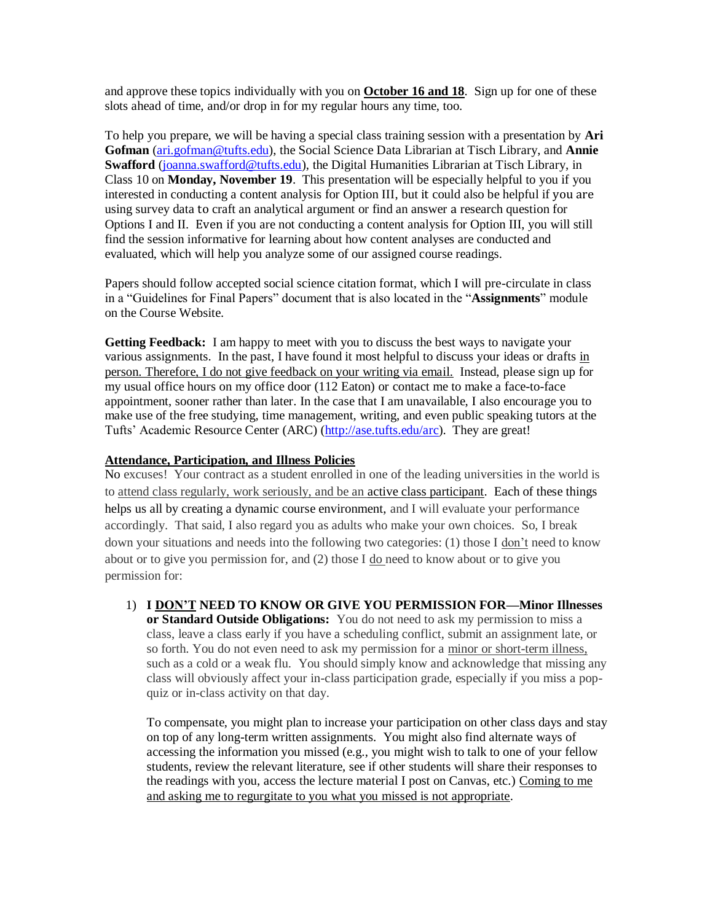and approve these topics individually with you on **October 16 and 18**. Sign up for one of these slots ahead of time, and/or drop in for my regular hours any time, too.

To help you prepare, we will be having a special class training session with a presentation by **Ari Gofman** [\(ari.gofman@tufts.edu\)](mailto:ari.gofman@tufts.edu), the Social Science Data Librarian at Tisch Library, and **Annie**  Swafford [\(joanna.swafford@tufts.edu\)](mailto:joanna.swafford@tufts.edu), the Digital Humanities Librarian at Tisch Library, in Class 10 on **Monday, November 19**. This presentation will be especially helpful to you if you interested in conducting a content analysis for Option III, but it could also be helpful if you are using survey data to craft an analytical argument or find an answer a research question for Options I and II. Even if you are not conducting a content analysis for Option III, you will still find the session informative for learning about how content analyses are conducted and evaluated, which will help you analyze some of our assigned course readings.

Papers should follow accepted social science citation format, which I will pre-circulate in class in a "Guidelines for Final Papers" document that is also located in the "**Assignments**" module on the Course Website.

**Getting Feedback:** I am happy to meet with you to discuss the best ways to navigate your various assignments. In the past, I have found it most helpful to discuss your ideas or drafts in person. Therefore, I do not give feedback on your writing via email. Instead, please sign up for my usual office hours on my office door (112 Eaton) or contact me to make a face-to-face appointment, sooner rather than later. In the case that I am unavailable, I also encourage you to make use of the free studying, time management, writing, and even public speaking tutors at the Tufts' Academic Resource Center (ARC) [\(http://ase.tufts.edu/arc\)](http://ase.tufts.edu/arc). They are great!

#### **Attendance, Participation, and Illness Policies**

No excuses! Your contract as a student enrolled in one of the leading universities in the world is to attend class regularly, work seriously, and be an active class participant. Each of these things helps us all by creating a dynamic course environment, and I will evaluate your performance accordingly. That said, I also regard you as adults who make your own choices. So, I break down your situations and needs into the following two categories: (1) those I don't need to know about or to give you permission for, and (2) those I do need to know about or to give you permission for:

1) **I DON'T NEED TO KNOW OR GIVE YOU PERMISSION FOR—Minor Illnesses or Standard Outside Obligations:** You do not need to ask my permission to miss a class, leave a class early if you have a scheduling conflict, submit an assignment late, or so forth. You do not even need to ask my permission for a minor or short-term illness, such as a cold or a weak flu. You should simply know and acknowledge that missing any class will obviously affect your in-class participation grade, especially if you miss a popquiz or in-class activity on that day.

To compensate, you might plan to increase your participation on other class days and stay on top of any long-term written assignments. You might also find alternate ways of accessing the information you missed (e.g., you might wish to talk to one of your fellow students, review the relevant literature, see if other students will share their responses to the readings with you, access the lecture material I post on Canvas, etc.) Coming to me and asking me to regurgitate to you what you missed is not appropriate.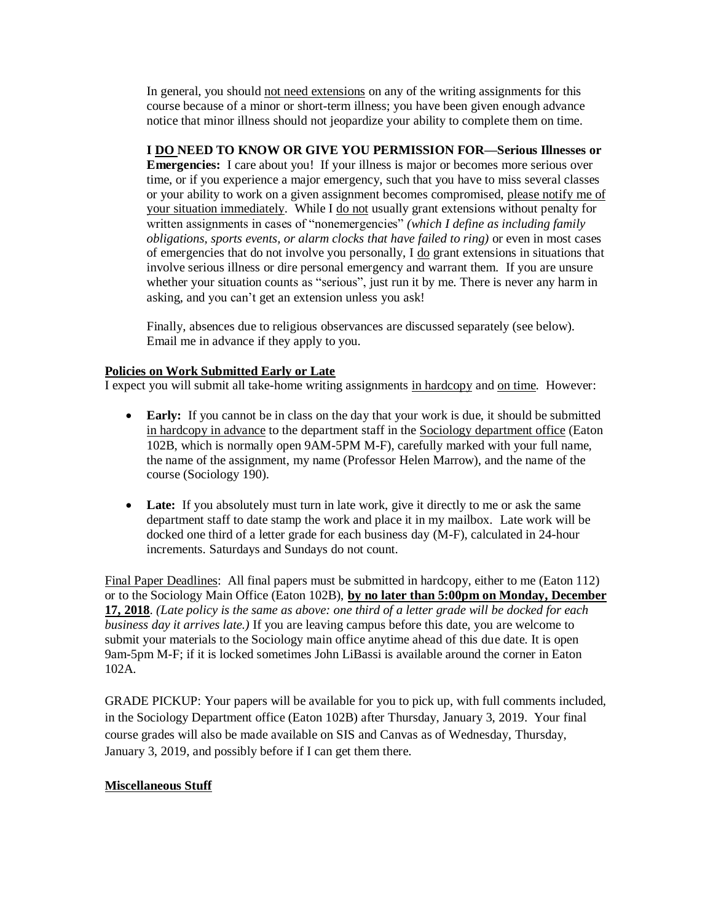In general, you should not need extensions on any of the writing assignments for this course because of a minor or short-term illness; you have been given enough advance notice that minor illness should not jeopardize your ability to complete them on time.

**I DO NEED TO KNOW OR GIVE YOU PERMISSION FOR—Serious Illnesses or Emergencies:** I care about you! If your illness is major or becomes more serious over time, or if you experience a major emergency, such that you have to miss several classes or your ability to work on a given assignment becomes compromised, please notify me of your situation immediately. While I do not usually grant extensions without penalty for written assignments in cases of "nonemergencies" *(which I define as including family obligations, sports events, or alarm clocks that have failed to ring)* or even in most cases of emergencies that do not involve you personally, I do grant extensions in situations that involve serious illness or dire personal emergency and warrant them. If you are unsure whether your situation counts as "serious", just run it by me. There is never any harm in asking, and you can't get an extension unless you ask!

Finally, absences due to religious observances are discussed separately (see below). Email me in advance if they apply to you.

### **Policies on Work Submitted Early or Late**

I expect you will submit all take-home writing assignments in hardcopy and on time. However:

- **Early:** If you cannot be in class on the day that your work is due, it should be submitted in hardcopy in advance to the department staff in the Sociology department office (Eaton 102B, which is normally open 9AM-5PM M-F), carefully marked with your full name, the name of the assignment, my name (Professor Helen Marrow), and the name of the course (Sociology 190).
- **Late:** If you absolutely must turn in late work, give it directly to me or ask the same department staff to date stamp the work and place it in my mailbox. Late work will be docked one third of a letter grade for each business day (M-F), calculated in 24-hour increments. Saturdays and Sundays do not count.

Final Paper Deadlines: All final papers must be submitted in hardcopy, either to me (Eaton 112) or to the Sociology Main Office (Eaton 102B), **by no later than 5:00pm on Monday, December 17, 2018**. *(Late policy is the same as above: one third of a letter grade will be docked for each business day it arrives late.*) If you are leaving campus before this date, you are welcome to submit your materials to the Sociology main office anytime ahead of this due date. It is open 9am-5pm M-F; if it is locked sometimes John LiBassi is available around the corner in Eaton 102A.

GRADE PICKUP: Your papers will be available for you to pick up, with full comments included, in the Sociology Department office (Eaton 102B) after Thursday, January 3, 2019. Your final course grades will also be made available on SIS and Canvas as of Wednesday, Thursday, January 3, 2019, and possibly before if I can get them there.

# **Miscellaneous Stuff**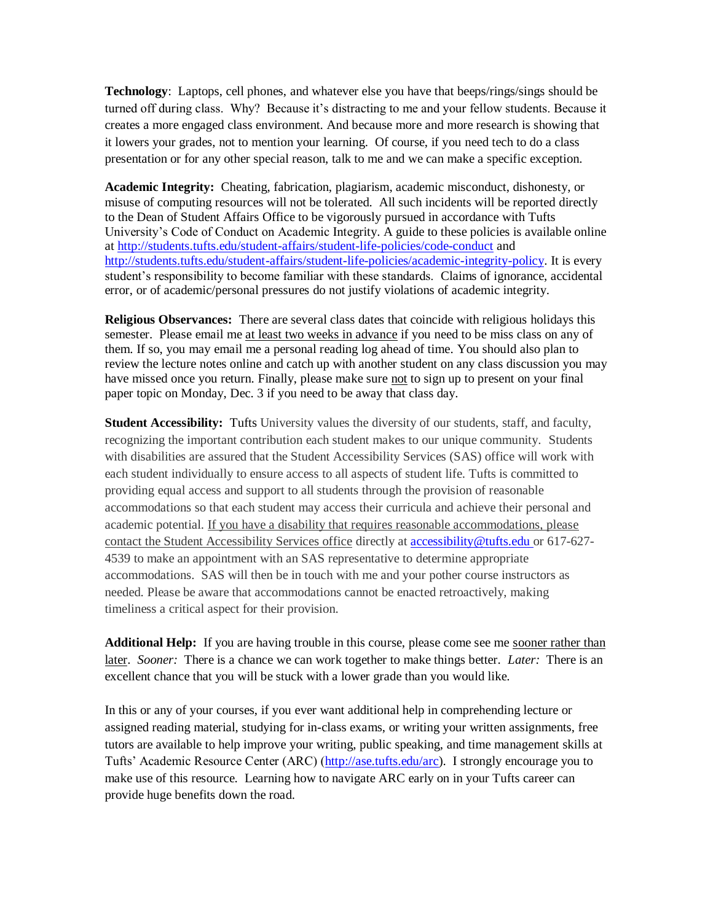**Technology**: Laptops, cell phones, and whatever else you have that beeps/rings/sings should be turned off during class. Why? Because it's distracting to me and your fellow students. Because it creates a more engaged class environment. And because more and more research is showing that it lowers your grades, not to mention your learning. Of course, if you need tech to do a class presentation or for any other special reason, talk to me and we can make a specific exception.

**Academic Integrity:** Cheating, fabrication, plagiarism, academic misconduct, dishonesty, or misuse of computing resources will not be tolerated. All such incidents will be reported directly to the Dean of Student Affairs Office to be vigorously pursued in accordance with Tufts University's Code of Conduct on Academic Integrity. A guide to these policies is available online a[t http://students.tufts.edu/student-affairs/student-life-policies/code-conduct](http://students.tufts.edu/student-affairs/student-life-policies/code-conduct) and [http://students.tufts.edu/student-affairs/student-life-policies/academic-integrity-policy.](http://students.tufts.edu/student-affairs/student-life-policies/academic-integrity-policy) It is every student's responsibility to become familiar with these standards. Claims of ignorance, accidental error, or of academic/personal pressures do not justify violations of academic integrity.

**Religious Observances:** There are several class dates that coincide with religious holidays this semester.Please email me at least two weeks in advance if you need to be miss class on any of them. If so, you may email me a personal reading log ahead of time. You should also plan to review the lecture notes online and catch up with another student on any class discussion you may have missed once you return. Finally, please make sure not to sign up to present on your final paper topic on Monday, Dec. 3 if you need to be away that class day.

**Student Accessibility:** Tufts University values the diversity of our students, staff, and faculty, recognizing the important contribution each student makes to our unique community. Students with disabilities are assured that the Student Accessibility Services (SAS) office will work with each student individually to ensure access to all aspects of student life. Tufts is committed to providing equal access and support to all students through the provision of reasonable accommodations so that each student may access their curricula and achieve their personal and academic potential. If you have a disability that requires reasonable accommodations, please contact the Student Accessibility Services office directly at [accessibility@tufts.edu](mailto:accessibility@tufts.edu) or 617-627- 4539 to make an appointment with an SAS representative to determine appropriate accommodations. SAS will then be in touch with me and your pother course instructors as needed. Please be aware that accommodations cannot be enacted retroactively, making timeliness a critical aspect for their provision.

Additional Help: If you are having trouble in this course, please come see me sooner rather than later. *Sooner:* There is a chance we can work together to make things better. *Later:* There is an excellent chance that you will be stuck with a lower grade than you would like.

In this or any of your courses, if you ever want additional help in comprehending lecture or assigned reading material, studying for in-class exams, or writing your written assignments, free tutors are available to help improve your writing, public speaking, and time management skills at Tufts' Academic Resource Center (ARC) [\(http://ase.tufts.edu/arc\)](http://ase.tufts.edu/arc). I strongly encourage you to make use of this resource. Learning how to navigate ARC early on in your Tufts career can provide huge benefits down the road.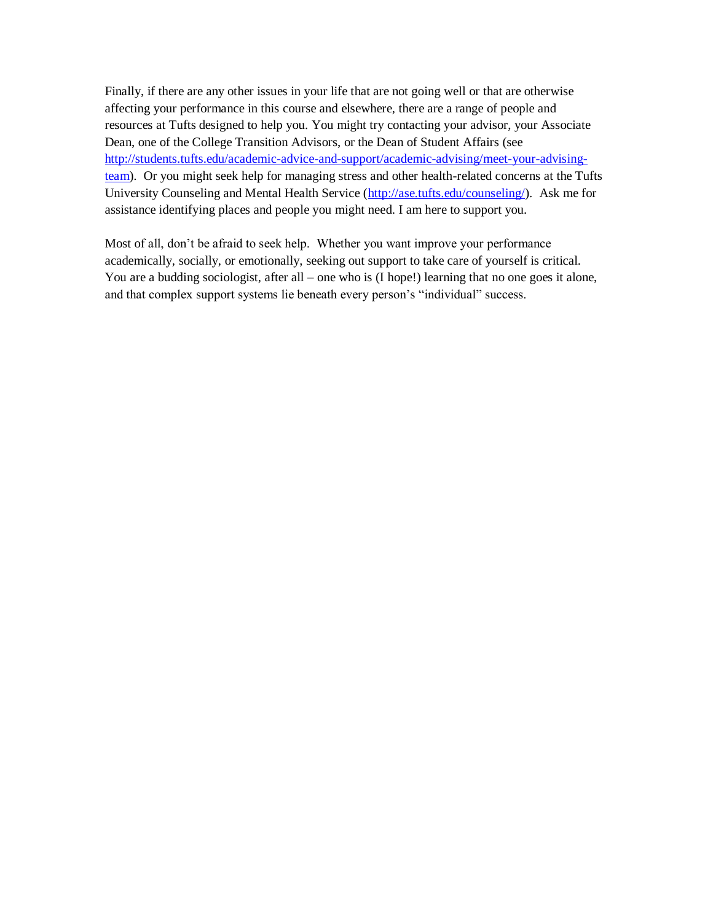Finally, if there are any other issues in your life that are not going well or that are otherwise affecting your performance in this course and elsewhere, there are a range of people and resources at Tufts designed to help you. You might try contacting your advisor, your Associate Dean, one of the College Transition Advisors, or the Dean of Student Affairs (see [http://students.tufts.edu/academic-advice-and-support/academic-advising/meet-your-advising](http://students.tufts.edu/academic-advice-and-support/academic-advising/meet-your-advising-team)[team\)](http://students.tufts.edu/academic-advice-and-support/academic-advising/meet-your-advising-team). Or you might seek help for managing stress and other health-related concerns at the Tufts University Counseling and Mental Health Service [\(http://ase.tufts.edu/counseling/\)](http://ase.tufts.edu/counseling/). Ask me for assistance identifying places and people you might need. I am here to support you.

Most of all, don't be afraid to seek help. Whether you want improve your performance academically, socially, or emotionally, seeking out support to take care of yourself is critical. You are a budding sociologist, after all – one who is (I hope!) learning that no one goes it alone, and that complex support systems lie beneath every person's "individual" success.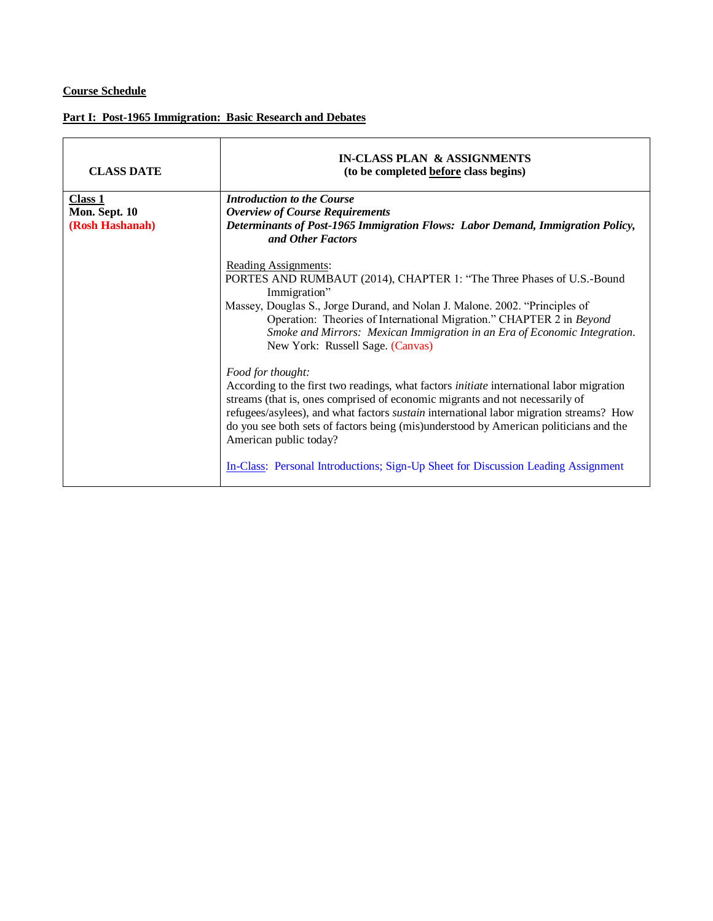# **Course Schedule**

#### **Part I: Post-1965 Immigration: Basic Research and Debates**

| <b>CLASS DATE</b>        | <b>IN-CLASS PLAN &amp; ASSIGNMENTS</b><br>(to be completed before class begins)                                                                                                                                                                                                                                                                                                                                                                                                                               |
|--------------------------|---------------------------------------------------------------------------------------------------------------------------------------------------------------------------------------------------------------------------------------------------------------------------------------------------------------------------------------------------------------------------------------------------------------------------------------------------------------------------------------------------------------|
| Class 1<br>Mon. Sept. 10 | <b>Introduction to the Course</b><br><b>Overview of Course Requirements</b>                                                                                                                                                                                                                                                                                                                                                                                                                                   |
| (Rosh Hashanah)          | Determinants of Post-1965 Immigration Flows: Labor Demand, Immigration Policy,<br>and Other Factors                                                                                                                                                                                                                                                                                                                                                                                                           |
|                          | Reading Assignments:<br>PORTES AND RUMBAUT (2014), CHAPTER 1: "The Three Phases of U.S.-Bound<br>Immigration"<br>Massey, Douglas S., Jorge Durand, and Nolan J. Malone. 2002. "Principles of<br>Operation: Theories of International Migration." CHAPTER 2 in Beyond<br>Smoke and Mirrors: Mexican Immigration in an Era of Economic Integration.<br>New York: Russell Sage. (Canvas)                                                                                                                         |
|                          | Food for thought:<br>According to the first two readings, what factors <i>initiate</i> international labor migration<br>streams (that is, ones comprised of economic migrants and not necessarily of<br>refugees/asylees), and what factors <i>sustain</i> international labor migration streams? How<br>do you see both sets of factors being (mis)understood by American politicians and the<br>American public today?<br>In-Class: Personal Introductions; Sign-Up Sheet for Discussion Leading Assignment |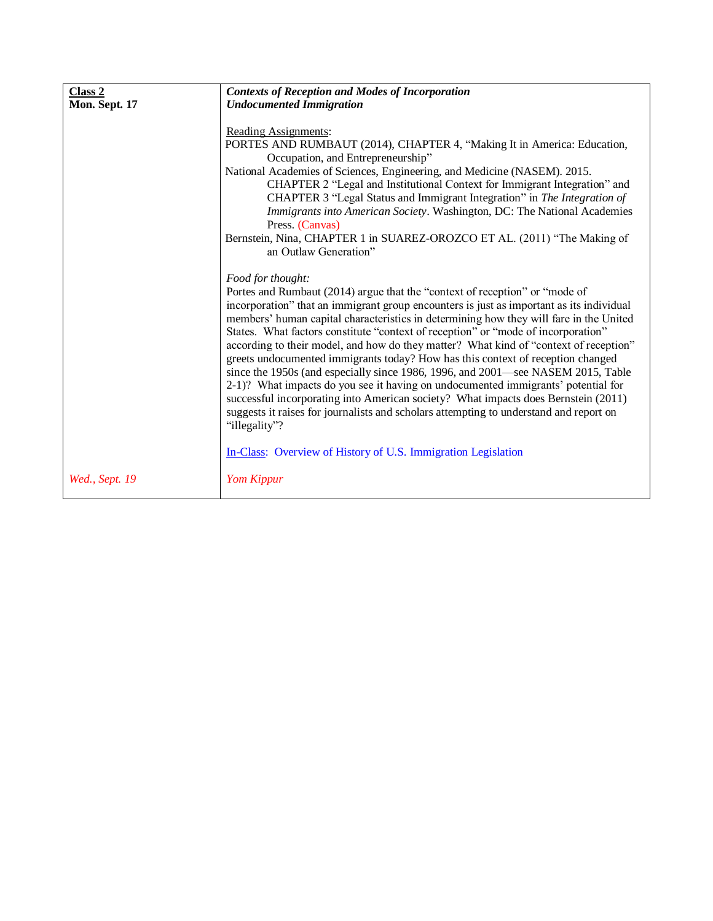| Class 2        | <b>Contexts of Reception and Modes of Incorporation</b>                                                                                                                                                                                                                                                                                                                                                                                                                                                                                                                                                                                                                                                                                                                                                                                                                                                                                                                                            |
|----------------|----------------------------------------------------------------------------------------------------------------------------------------------------------------------------------------------------------------------------------------------------------------------------------------------------------------------------------------------------------------------------------------------------------------------------------------------------------------------------------------------------------------------------------------------------------------------------------------------------------------------------------------------------------------------------------------------------------------------------------------------------------------------------------------------------------------------------------------------------------------------------------------------------------------------------------------------------------------------------------------------------|
| Mon. Sept. 17  | <b>Undocumented Immigration</b>                                                                                                                                                                                                                                                                                                                                                                                                                                                                                                                                                                                                                                                                                                                                                                                                                                                                                                                                                                    |
|                | Reading Assignments:<br>PORTES AND RUMBAUT (2014), CHAPTER 4, "Making It in America: Education,<br>Occupation, and Entrepreneurship"<br>National Academies of Sciences, Engineering, and Medicine (NASEM). 2015.<br>CHAPTER 2 "Legal and Institutional Context for Immigrant Integration" and<br>CHAPTER 3 "Legal Status and Immigrant Integration" in The Integration of<br>Immigrants into American Society. Washington, DC: The National Academies<br>Press. (Canvas)<br>Bernstein, Nina, CHAPTER 1 in SUAREZ-OROZCO ET AL. (2011) "The Making of<br>an Outlaw Generation"                                                                                                                                                                                                                                                                                                                                                                                                                      |
|                | Food for thought:<br>Portes and Rumbaut (2014) argue that the "context of reception" or "mode of<br>incorporation" that an immigrant group encounters is just as important as its individual<br>members' human capital characteristics in determining how they will fare in the United<br>States. What factors constitute "context of reception" or "mode of incorporation"<br>according to their model, and how do they matter? What kind of "context of reception"<br>greets undocumented immigrants today? How has this context of reception changed<br>since the 1950s (and especially since 1986, 1996, and 2001—see NASEM 2015, Table<br>2-1)? What impacts do you see it having on undocumented immigrants' potential for<br>successful incorporating into American society? What impacts does Bernstein (2011)<br>suggests it raises for journalists and scholars attempting to understand and report on<br>"illegality"?<br>In-Class: Overview of History of U.S. Immigration Legislation |
| Wed., Sept. 19 | Yom Kippur                                                                                                                                                                                                                                                                                                                                                                                                                                                                                                                                                                                                                                                                                                                                                                                                                                                                                                                                                                                         |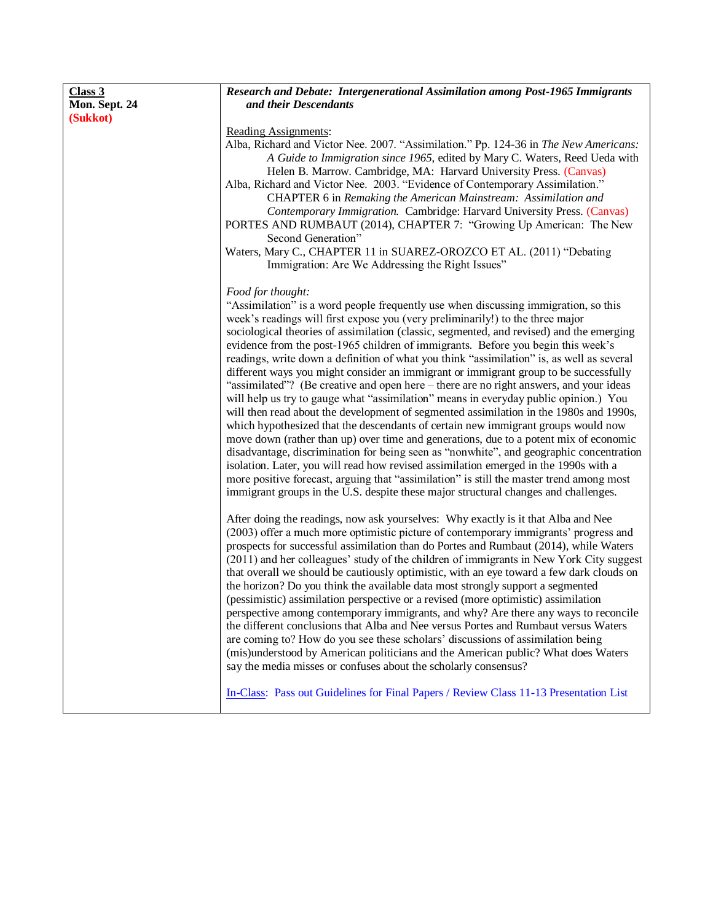| Class 3       | Research and Debate: Intergenerational Assimilation among Post-1965 Immigrants            |
|---------------|-------------------------------------------------------------------------------------------|
| Mon. Sept. 24 | and their Descendants                                                                     |
| (Sukkot)      |                                                                                           |
|               | Reading Assignments:                                                                      |
|               | Alba, Richard and Victor Nee. 2007. "Assimilation." Pp. 124-36 in The New Americans:      |
|               | A Guide to Immigration since 1965, edited by Mary C. Waters, Reed Ueda with               |
|               | Helen B. Marrow. Cambridge, MA: Harvard University Press. (Canvas)                        |
|               | Alba, Richard and Victor Nee. 2003. "Evidence of Contemporary Assimilation."              |
|               | CHAPTER 6 in Remaking the American Mainstream: Assimilation and                           |
|               | Contemporary Immigration. Cambridge: Harvard University Press. (Canvas)                   |
|               | PORTES AND RUMBAUT (2014), CHAPTER 7: "Growing Up American: The New                       |
|               | Second Generation"                                                                        |
|               | Waters, Mary C., CHAPTER 11 in SUAREZ-OROZCO ET AL. (2011) "Debating                      |
|               | Immigration: Are We Addressing the Right Issues"                                          |
|               | Food for thought:                                                                         |
|               | "Assimilation" is a word people frequently use when discussing immigration, so this       |
|               | week's readings will first expose you (very preliminarily!) to the three major            |
|               | sociological theories of assimilation (classic, segmented, and revised) and the emerging  |
|               | evidence from the post-1965 children of immigrants. Before you begin this week's          |
|               | readings, write down a definition of what you think "assimilation" is, as well as several |
|               | different ways you might consider an immigrant or immigrant group to be successfully      |
|               | "assimilated"? (Be creative and open here – there are no right answers, and your ideas    |
|               | will help us try to gauge what "assimilation" means in everyday public opinion.) You      |
|               | will then read about the development of segmented assimilation in the 1980s and 1990s,    |
|               | which hypothesized that the descendants of certain new immigrant groups would now         |
|               | move down (rather than up) over time and generations, due to a potent mix of economic     |
|               | disadvantage, discrimination for being seen as "nonwhite", and geographic concentration   |
|               | isolation. Later, you will read how revised assimilation emerged in the 1990s with a      |
|               | more positive forecast, arguing that "assimilation" is still the master trend among most  |
|               | immigrant groups in the U.S. despite these major structural changes and challenges.       |
|               | After doing the readings, now ask yourselves: Why exactly is it that Alba and Nee         |
|               | (2003) offer a much more optimistic picture of contemporary immigrants' progress and      |
|               | prospects for successful assimilation than do Portes and Rumbaut (2014), while Waters     |
|               | (2011) and her colleagues' study of the children of immigrants in New York City suggest   |
|               | that overall we should be cautiously optimistic, with an eye toward a few dark clouds on  |
|               | the horizon? Do you think the available data most strongly support a segmented            |
|               | (pessimistic) assimilation perspective or a revised (more optimistic) assimilation        |
|               | perspective among contemporary immigrants, and why? Are there any ways to reconcile       |
|               | the different conclusions that Alba and Nee versus Portes and Rumbaut versus Waters       |
|               | are coming to? How do you see these scholars' discussions of assimilation being           |
|               | (mis)understood by American politicians and the American public? What does Waters         |
|               | say the media misses or confuses about the scholarly consensus?                           |
|               | In-Class: Pass out Guidelines for Final Papers / Review Class 11-13 Presentation List     |
|               |                                                                                           |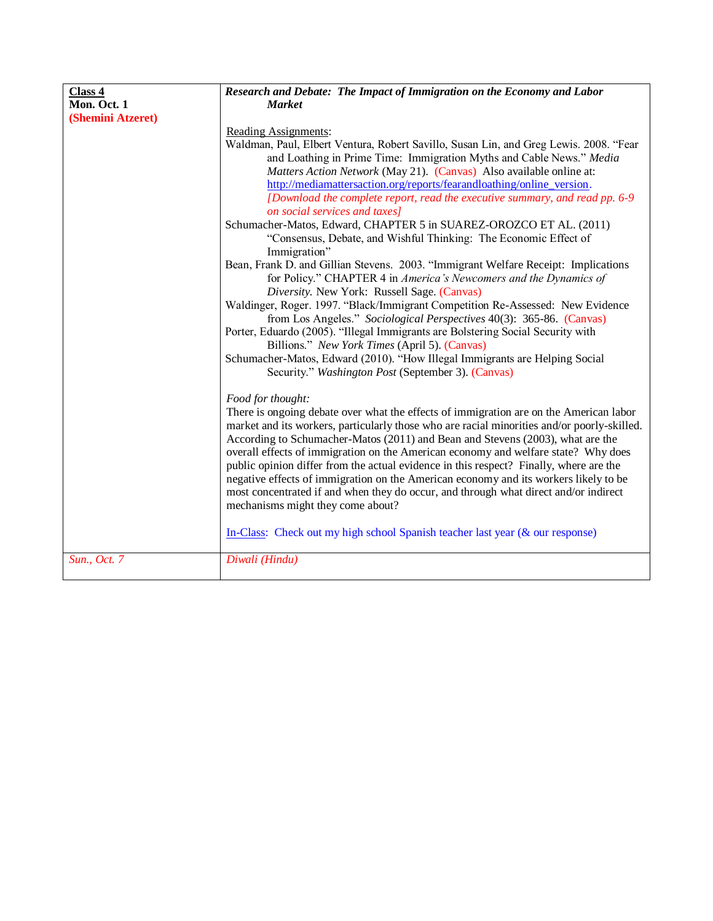| Class 4           | Research and Debate: The Impact of Immigration on the Economy and Labor                                                                                                                                                                                                                                                                                                                                                                                                                                                                                                                                                                                                                                                                                                                                                                                                                                                                                                                                                                                                                                                                                                                                                                                      |
|-------------------|--------------------------------------------------------------------------------------------------------------------------------------------------------------------------------------------------------------------------------------------------------------------------------------------------------------------------------------------------------------------------------------------------------------------------------------------------------------------------------------------------------------------------------------------------------------------------------------------------------------------------------------------------------------------------------------------------------------------------------------------------------------------------------------------------------------------------------------------------------------------------------------------------------------------------------------------------------------------------------------------------------------------------------------------------------------------------------------------------------------------------------------------------------------------------------------------------------------------------------------------------------------|
| Mon. Oct. 1       | <b>Market</b>                                                                                                                                                                                                                                                                                                                                                                                                                                                                                                                                                                                                                                                                                                                                                                                                                                                                                                                                                                                                                                                                                                                                                                                                                                                |
| (Shemini Atzeret) |                                                                                                                                                                                                                                                                                                                                                                                                                                                                                                                                                                                                                                                                                                                                                                                                                                                                                                                                                                                                                                                                                                                                                                                                                                                              |
|                   | Reading Assignments:<br>Waldman, Paul, Elbert Ventura, Robert Savillo, Susan Lin, and Greg Lewis. 2008. "Fear<br>and Loathing in Prime Time: Immigration Myths and Cable News." Media<br>Matters Action Network (May 21). (Canvas) Also available online at:<br>http://mediamattersaction.org/reports/fearandloathing/online_version.<br>[Download the complete report, read the executive summary, and read pp. 6-9<br>on social services and taxes]<br>Schumacher-Matos, Edward, CHAPTER 5 in SUAREZ-OROZCO ET AL. (2011)<br>"Consensus, Debate, and Wishful Thinking: The Economic Effect of<br>Immigration"<br>Bean, Frank D. and Gillian Stevens. 2003. "Immigrant Welfare Receipt: Implications<br>for Policy." CHAPTER 4 in America's Newcomers and the Dynamics of<br>Diversity. New York: Russell Sage. (Canvas)<br>Waldinger, Roger. 1997. "Black/Immigrant Competition Re-Assessed: New Evidence<br>from Los Angeles." Sociological Perspectives 40(3): 365-86. (Canvas)<br>Porter, Eduardo (2005). "Illegal Immigrants are Bolstering Social Security with<br>Billions." New York Times (April 5). (Canvas)<br>Schumacher-Matos, Edward (2010). "How Illegal Immigrants are Helping Social<br>Security." Washington Post (September 3). (Canvas) |
|                   | Food for thought:<br>There is ongoing debate over what the effects of immigration are on the American labor<br>market and its workers, particularly those who are racial minorities and/or poorly-skilled.<br>According to Schumacher-Matos (2011) and Bean and Stevens (2003), what are the<br>overall effects of immigration on the American economy and welfare state? Why does<br>public opinion differ from the actual evidence in this respect? Finally, where are the<br>negative effects of immigration on the American economy and its workers likely to be<br>most concentrated if and when they do occur, and through what direct and/or indirect<br>mechanisms might they come about?<br>In-Class: Check out my high school Spanish teacher last year $(\&$ our response)                                                                                                                                                                                                                                                                                                                                                                                                                                                                        |
| Sun., Oct. 7      | Diwali (Hindu)                                                                                                                                                                                                                                                                                                                                                                                                                                                                                                                                                                                                                                                                                                                                                                                                                                                                                                                                                                                                                                                                                                                                                                                                                                               |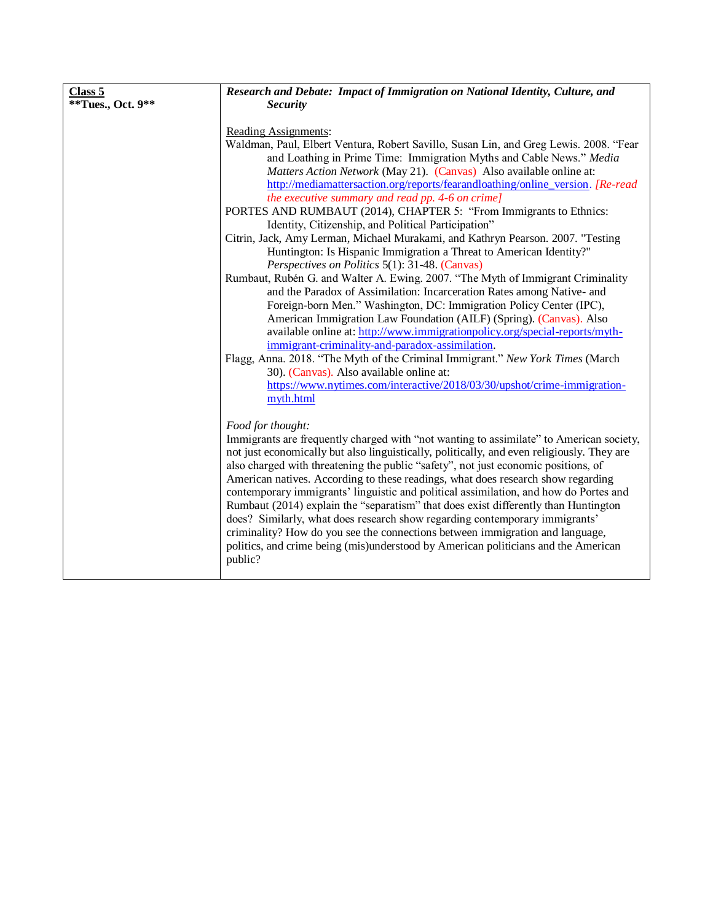| Class 5           | Research and Debate: Impact of Immigration on National Identity, Culture, and                                                                                                                                                                                                                                                                                                                                                                                                                                                                                                                                                                                                                                                                                                                                                                                                                                                                                                                                                                                                                                                                                                                                                                                                                                                                                                                                    |
|-------------------|------------------------------------------------------------------------------------------------------------------------------------------------------------------------------------------------------------------------------------------------------------------------------------------------------------------------------------------------------------------------------------------------------------------------------------------------------------------------------------------------------------------------------------------------------------------------------------------------------------------------------------------------------------------------------------------------------------------------------------------------------------------------------------------------------------------------------------------------------------------------------------------------------------------------------------------------------------------------------------------------------------------------------------------------------------------------------------------------------------------------------------------------------------------------------------------------------------------------------------------------------------------------------------------------------------------------------------------------------------------------------------------------------------------|
| **Tues., Oct. 9** | <b>Security</b>                                                                                                                                                                                                                                                                                                                                                                                                                                                                                                                                                                                                                                                                                                                                                                                                                                                                                                                                                                                                                                                                                                                                                                                                                                                                                                                                                                                                  |
|                   | Reading Assignments:<br>Waldman, Paul, Elbert Ventura, Robert Savillo, Susan Lin, and Greg Lewis. 2008. "Fear<br>and Loathing in Prime Time: Immigration Myths and Cable News." Media<br>Matters Action Network (May 21). (Canvas) Also available online at:<br>http://mediamattersaction.org/reports/fearandloathing/online_version. [Re-read]<br>the executive summary and read pp. 4-6 on crime]<br>PORTES AND RUMBAUT (2014), CHAPTER 5: "From Immigrants to Ethnics:<br>Identity, Citizenship, and Political Participation"<br>Citrin, Jack, Amy Lerman, Michael Murakami, and Kathryn Pearson. 2007. "Testing<br>Huntington: Is Hispanic Immigration a Threat to American Identity?"<br>Perspectives on Politics 5(1): 31-48. (Canvas)<br>Rumbaut, Rubén G. and Walter A. Ewing. 2007. "The Myth of Immigrant Criminality<br>and the Paradox of Assimilation: Incarceration Rates among Native- and<br>Foreign-born Men." Washington, DC: Immigration Policy Center (IPC),<br>American Immigration Law Foundation (AILF) (Spring). (Canvas). Also<br>available online at: http://www.immigrationpolicy.org/special-reports/myth-<br>immigrant-criminality-and-paradox-assimilation.<br>Flagg, Anna. 2018. "The Myth of the Criminal Immigrant." New York Times (March<br>30). (Canvas). Also available online at:<br>https://www.nytimes.com/interactive/2018/03/30/upshot/crime-immigration-<br>myth.html |
|                   | Food for thought:<br>Immigrants are frequently charged with "not wanting to assimilate" to American society,<br>not just economically but also linguistically, politically, and even religiously. They are<br>also charged with threatening the public "safety", not just economic positions, of<br>American natives. According to these readings, what does research show regarding<br>contemporary immigrants' linguistic and political assimilation, and how do Portes and<br>Rumbaut (2014) explain the "separatism" that does exist differently than Huntington<br>does? Similarly, what does research show regarding contemporary immigrants'<br>criminality? How do you see the connections between immigration and language,<br>politics, and crime being (mis)understood by American politicians and the American<br>public?                                                                                                                                                                                                                                                                                                                                                                                                                                                                                                                                                                            |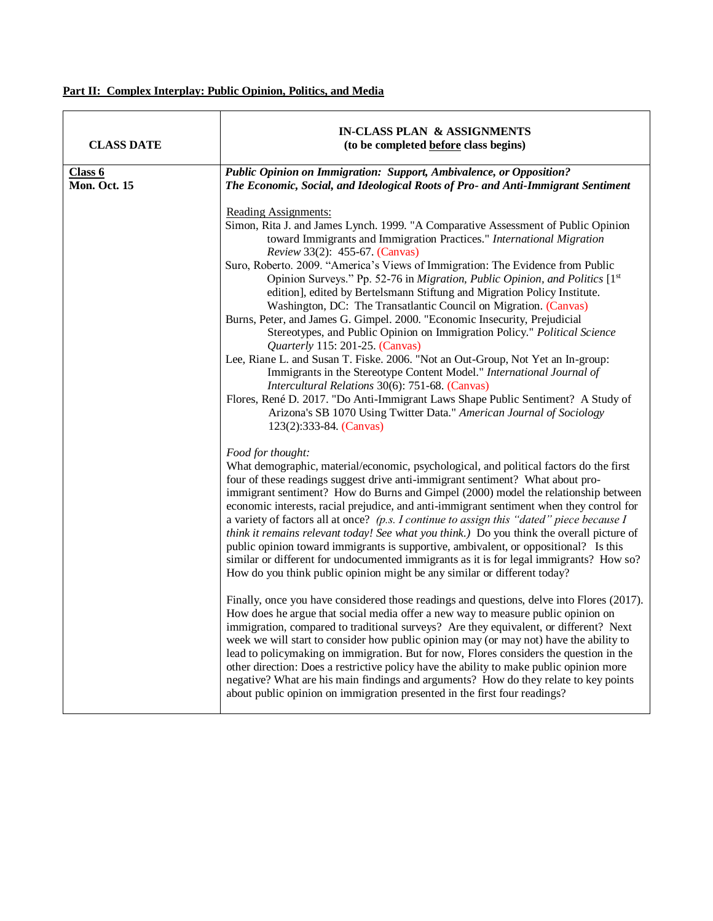# **Part II: Complex Interplay: Public Opinion, Politics, and Media**

| <b>CLASS DATE</b>       | IN-CLASS PLAN & ASSIGNMENTS<br>(to be completed before class begins)                                                                                                                                                                                                                                                                                                                                                                                                                                                                                                                                                                                                                                                                                                                                                                                                                                                                                                                                                                                                                                                                                                                                                                                                                                   |
|-------------------------|--------------------------------------------------------------------------------------------------------------------------------------------------------------------------------------------------------------------------------------------------------------------------------------------------------------------------------------------------------------------------------------------------------------------------------------------------------------------------------------------------------------------------------------------------------------------------------------------------------------------------------------------------------------------------------------------------------------------------------------------------------------------------------------------------------------------------------------------------------------------------------------------------------------------------------------------------------------------------------------------------------------------------------------------------------------------------------------------------------------------------------------------------------------------------------------------------------------------------------------------------------------------------------------------------------|
| Class 6<br>Mon. Oct. 15 | Public Opinion on Immigration: Support, Ambivalence, or Opposition?<br>The Economic, Social, and Ideological Roots of Pro- and Anti-Immigrant Sentiment                                                                                                                                                                                                                                                                                                                                                                                                                                                                                                                                                                                                                                                                                                                                                                                                                                                                                                                                                                                                                                                                                                                                                |
|                         | Reading Assignments:<br>Simon, Rita J. and James Lynch. 1999. "A Comparative Assessment of Public Opinion<br>toward Immigrants and Immigration Practices." International Migration<br>Review 33(2): 455-67. (Canvas)<br>Suro, Roberto. 2009. "America's Views of Immigration: The Evidence from Public<br>Opinion Surveys." Pp. 52-76 in Migration, Public Opinion, and Politics [1st]<br>edition], edited by Bertelsmann Stiftung and Migration Policy Institute.<br>Washington, DC: The Transatlantic Council on Migration. (Canvas)<br>Burns, Peter, and James G. Gimpel. 2000. "Economic Insecurity, Prejudicial<br>Stereotypes, and Public Opinion on Immigration Policy." Political Science<br><i>Quarterly</i> 115: 201-25. (Canvas)<br>Lee, Riane L. and Susan T. Fiske. 2006. "Not an Out-Group, Not Yet an In-group:<br>Immigrants in the Stereotype Content Model." International Journal of<br>Intercultural Relations 30(6): 751-68. (Canvas)<br>Flores, René D. 2017. "Do Anti-Immigrant Laws Shape Public Sentiment? A Study of<br>Arizona's SB 1070 Using Twitter Data." American Journal of Sociology<br>123(2):333-84. (Canvas)                                                                                                                                                      |
|                         | Food for thought:<br>What demographic, material/economic, psychological, and political factors do the first<br>four of these readings suggest drive anti-immigrant sentiment? What about pro-<br>immigrant sentiment? How do Burns and Gimpel (2000) model the relationship between<br>economic interests, racial prejudice, and anti-immigrant sentiment when they control for<br>a variety of factors all at once? (p.s. I continue to assign this "dated" piece because I<br>think it remains relevant today! See what you think.) Do you think the overall picture of<br>public opinion toward immigrants is supportive, ambivalent, or oppositional? Is this<br>similar or different for undocumented immigrants as it is for legal immigrants? How so?<br>How do you think public opinion might be any similar or different today?<br>Finally, once you have considered those readings and questions, delve into Flores (2017).<br>How does he argue that social media offer a new way to measure public opinion on<br>immigration, compared to traditional surveys? Are they equivalent, or different? Next<br>week we will start to consider how public opinion may (or may not) have the ability to<br>lead to policymaking on immigration. But for now, Flores considers the question in the |
|                         | other direction: Does a restrictive policy have the ability to make public opinion more<br>negative? What are his main findings and arguments? How do they relate to key points<br>about public opinion on immigration presented in the first four readings?                                                                                                                                                                                                                                                                                                                                                                                                                                                                                                                                                                                                                                                                                                                                                                                                                                                                                                                                                                                                                                           |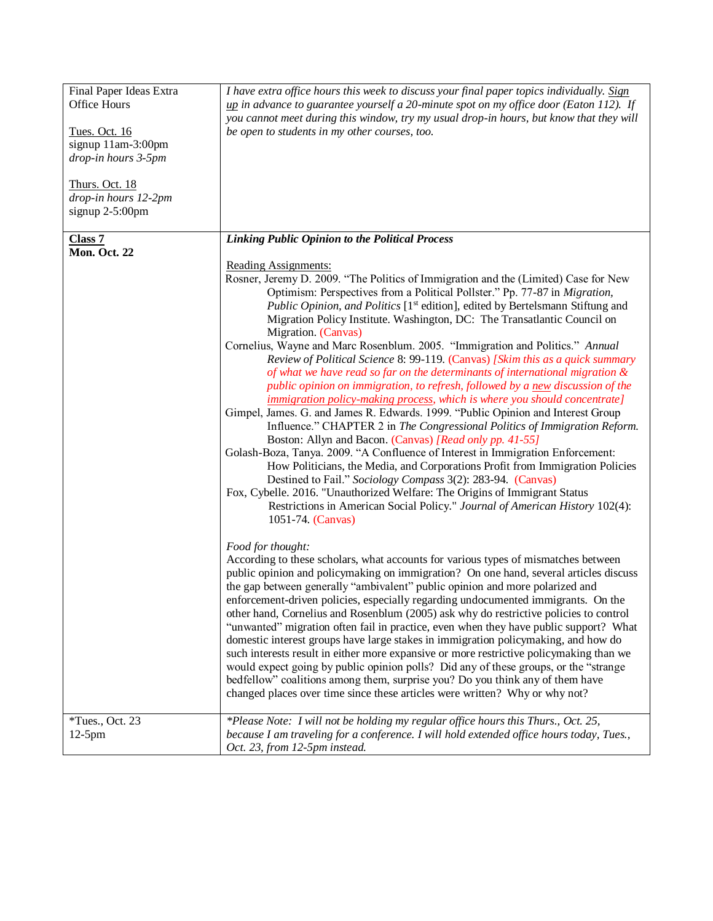| Final Paper Ideas Extra | I have extra office hours this week to discuss your final paper topics individually. Sign                                                                             |
|-------------------------|-----------------------------------------------------------------------------------------------------------------------------------------------------------------------|
| Office Hours            | $\mu$ in advance to guarantee yourself a 20-minute spot on my office door (Eaton 112). If                                                                             |
|                         | you cannot meet during this window, try my usual drop-in hours, but know that they will                                                                               |
| Tues. Oct. 16           | be open to students in my other courses, too.                                                                                                                         |
| signup 11am-3:00pm      |                                                                                                                                                                       |
| drop-in hours 3-5pm     |                                                                                                                                                                       |
|                         |                                                                                                                                                                       |
| <b>Thurs. Oct. 18</b>   |                                                                                                                                                                       |
| drop-in hours 12-2pm    |                                                                                                                                                                       |
| signup $2-5:00$ pm      |                                                                                                                                                                       |
|                         |                                                                                                                                                                       |
| Class <sub>7</sub>      | <b>Linking Public Opinion to the Political Process</b>                                                                                                                |
| Mon. Oct. 22            |                                                                                                                                                                       |
|                         | <b>Reading Assignments:</b>                                                                                                                                           |
|                         | Rosner, Jeremy D. 2009. "The Politics of Immigration and the (Limited) Case for New<br>Optimism: Perspectives from a Political Pollster." Pp. 77-87 in Migration,     |
|                         | Public Opinion, and Politics [1 <sup>st</sup> edition], edited by Bertelsmann Stiftung and                                                                            |
|                         | Migration Policy Institute. Washington, DC: The Transatlantic Council on                                                                                              |
|                         | Migration. (Canvas)                                                                                                                                                   |
|                         | Cornelius, Wayne and Marc Rosenblum. 2005. "Immigration and Politics." Annual                                                                                         |
|                         | Review of Political Science 8: 99-119. (Canvas) [Skim this as a quick summary                                                                                         |
|                         | of what we have read so far on the determinants of international migration $\&$                                                                                       |
|                         | public opinion on immigration, to refresh, followed by a new discussion of the                                                                                        |
|                         | <i>immigration policy-making process, which is where you should concentrate]</i>                                                                                      |
|                         | Gimpel, James. G. and James R. Edwards. 1999. "Public Opinion and Interest Group                                                                                      |
|                         | Influence." CHAPTER 2 in The Congressional Politics of Immigration Reform.                                                                                            |
|                         | Boston: Allyn and Bacon. (Canvas) [Read only pp. 41-55]                                                                                                               |
|                         | Golash-Boza, Tanya. 2009. "A Confluence of Interest in Immigration Enforcement:                                                                                       |
|                         | How Politicians, the Media, and Corporations Profit from Immigration Policies                                                                                         |
|                         | Destined to Fail." Sociology Compass 3(2): 283-94. (Canvas)                                                                                                           |
|                         | Fox, Cybelle. 2016. "Unauthorized Welfare: The Origins of Immigrant Status                                                                                            |
|                         | Restrictions in American Social Policy." Journal of American History 102(4):                                                                                          |
|                         | 1051-74. (Canvas)                                                                                                                                                     |
|                         |                                                                                                                                                                       |
|                         | Food for thought:                                                                                                                                                     |
|                         | According to these scholars, what accounts for various types of mismatches between                                                                                    |
|                         | public opinion and policymaking on immigration? On one hand, several articles discuss                                                                                 |
|                         | the gap between generally "ambivalent" public opinion and more polarized and                                                                                          |
|                         | enforcement-driven policies, especially regarding undocumented immigrants. On the                                                                                     |
|                         | other hand, Cornelius and Rosenblum (2005) ask why do restrictive policies to control                                                                                 |
|                         | "unwanted" migration often fail in practice, even when they have public support? What                                                                                 |
|                         | domestic interest groups have large stakes in immigration policymaking, and how do                                                                                    |
|                         | such interests result in either more expansive or more restrictive policymaking than we                                                                               |
|                         | would expect going by public opinion polls? Did any of these groups, or the "strange<br>bedfellow" coalitions among them, surprise you? Do you think any of them have |
|                         | changed places over time since these articles were written? Why or why not?                                                                                           |
|                         |                                                                                                                                                                       |
| $*Tues., Oct. 23$       | *Please Note: I will not be holding my regular office hours this Thurs., Oct. 25,                                                                                     |
| $12-5$ pm               | because I am traveling for a conference. I will hold extended office hours today, Tues.,                                                                              |
|                         | Oct. 23, from 12-5pm instead.                                                                                                                                         |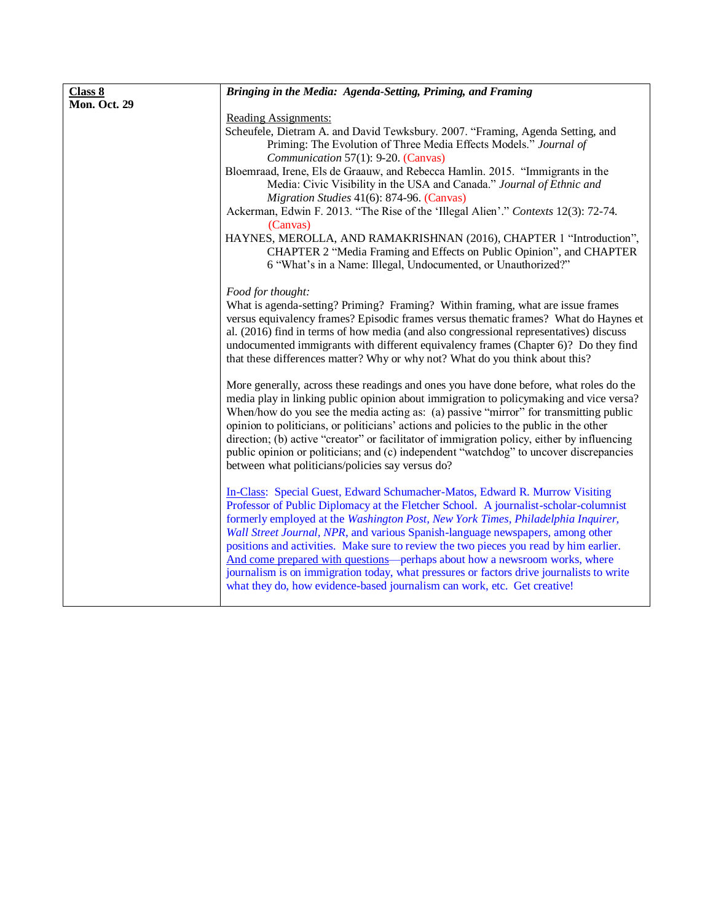| Class 8      | Bringing in the Media: Agenda-Setting, Priming, and Framing                                                                                                                   |
|--------------|-------------------------------------------------------------------------------------------------------------------------------------------------------------------------------|
| Mon. Oct. 29 |                                                                                                                                                                               |
|              | Reading Assignments:                                                                                                                                                          |
|              | Scheufele, Dietram A. and David Tewksbury. 2007. "Framing, Agenda Setting, and                                                                                                |
|              | Priming: The Evolution of Three Media Effects Models." Journal of                                                                                                             |
|              | Communication 57(1): 9-20. (Canvas)                                                                                                                                           |
|              | Bloemraad, Irene, Els de Graauw, and Rebecca Hamlin. 2015. "Immigrants in the                                                                                                 |
|              | Media: Civic Visibility in the USA and Canada." Journal of Ethnic and                                                                                                         |
|              | Migration Studies 41(6): 874-96. (Canvas)                                                                                                                                     |
|              | Ackerman, Edwin F. 2013. "The Rise of the 'Illegal Alien'." Contexts 12(3): 72-74.                                                                                            |
|              | (Canvas)                                                                                                                                                                      |
|              | HAYNES, MEROLLA, AND RAMAKRISHNAN (2016), CHAPTER 1 "Introduction",                                                                                                           |
|              | CHAPTER 2 "Media Framing and Effects on Public Opinion", and CHAPTER                                                                                                          |
|              | 6 "What's in a Name: Illegal, Undocumented, or Unauthorized?"                                                                                                                 |
|              |                                                                                                                                                                               |
|              | Food for thought:                                                                                                                                                             |
|              | What is agenda-setting? Priming? Framing? Within framing, what are issue frames                                                                                               |
|              | versus equivalency frames? Episodic frames versus thematic frames? What do Haynes et                                                                                          |
|              | al. (2016) find in terms of how media (and also congressional representatives) discuss<br>undocumented immigrants with different equivalency frames (Chapter 6)? Do they find |
|              | that these differences matter? Why or why not? What do you think about this?                                                                                                  |
|              |                                                                                                                                                                               |
|              | More generally, across these readings and ones you have done before, what roles do the                                                                                        |
|              | media play in linking public opinion about immigration to policymaking and vice versa?                                                                                        |
|              | When/how do you see the media acting as: (a) passive "mirror" for transmitting public                                                                                         |
|              | opinion to politicians, or politicians' actions and policies to the public in the other                                                                                       |
|              | direction; (b) active "creator" or facilitator of immigration policy, either by influencing                                                                                   |
|              | public opinion or politicians; and (c) independent "watchdog" to uncover discrepancies                                                                                        |
|              | between what politicians/policies say versus do?                                                                                                                              |
|              |                                                                                                                                                                               |
|              | In-Class: Special Guest, Edward Schumacher-Matos, Edward R. Murrow Visiting                                                                                                   |
|              | Professor of Public Diplomacy at the Fletcher School. A journalist-scholar-columnist                                                                                          |
|              | formerly employed at the Washington Post, New York Times, Philadelphia Inquirer,                                                                                              |
|              | Wall Street Journal, NPR, and various Spanish-language newspapers, among other                                                                                                |
|              | positions and activities. Make sure to review the two pieces you read by him earlier.                                                                                         |
|              | And come prepared with questions-perhaps about how a newsroom works, where                                                                                                    |
|              | journalism is on immigration today, what pressures or factors drive journalists to write                                                                                      |
|              | what they do, how evidence-based journalism can work, etc. Get creative!                                                                                                      |
|              |                                                                                                                                                                               |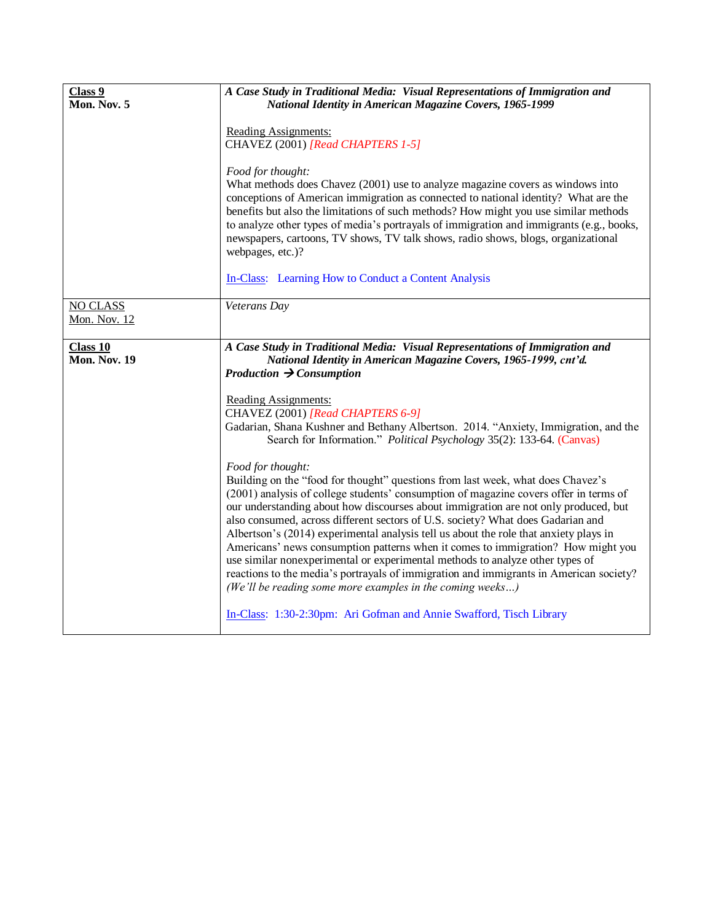| Class 9<br>Mon. Nov. 5                 | A Case Study in Traditional Media: Visual Representations of Immigration and<br>National Identity in American Magazine Covers, 1965-1999<br><b>Reading Assignments:</b><br>CHAVEZ (2001) [Read CHAPTERS 1-5]<br>Food for thought:<br>What methods does Chavez (2001) use to analyze magazine covers as windows into<br>conceptions of American immigration as connected to national identity? What are the<br>benefits but also the limitations of such methods? How might you use similar methods<br>to analyze other types of media's portrayals of immigration and immigrants (e.g., books,<br>newspapers, cartoons, TV shows, TV talk shows, radio shows, blogs, organizational<br>webpages, etc.)? |
|----------------------------------------|---------------------------------------------------------------------------------------------------------------------------------------------------------------------------------------------------------------------------------------------------------------------------------------------------------------------------------------------------------------------------------------------------------------------------------------------------------------------------------------------------------------------------------------------------------------------------------------------------------------------------------------------------------------------------------------------------------|
|                                        | In-Class: Learning How to Conduct a Content Analysis                                                                                                                                                                                                                                                                                                                                                                                                                                                                                                                                                                                                                                                    |
| <b>NO CLASS</b><br><b>Mon. Nov. 12</b> | Veterans Day                                                                                                                                                                                                                                                                                                                                                                                                                                                                                                                                                                                                                                                                                            |
| Class 10<br><b>Mon. Nov. 19</b>        | A Case Study in Traditional Media: Visual Representations of Immigration and<br>National Identity in American Magazine Covers, 1965-1999, cnt'd.<br>Production $\rightarrow$ Consumption<br><b>Reading Assignments:</b><br>CHAVEZ (2001) [Read CHAPTERS 6-9]<br>Gadarian, Shana Kushner and Bethany Albertson. 2014. "Anxiety, Immigration, and the<br>Search for Information." Political Psychology 35(2): 133-64. (Canvas)<br>Food for thought:<br>Building on the "food for thought" questions from last week, what does Chavez's<br>(2001) analysis of college students' consumption of magazine covers offer in terms of                                                                           |
|                                        | our understanding about how discourses about immigration are not only produced, but<br>also consumed, across different sectors of U.S. society? What does Gadarian and<br>Albertson's (2014) experimental analysis tell us about the role that anxiety plays in<br>Americans' news consumption patterns when it comes to immigration? How might you<br>use similar nonexperimental or experimental methods to analyze other types of<br>reactions to the media's portrayals of immigration and immigrants in American society?<br>(We'll be reading some more examples in the coming weeks)<br>In-Class: 1:30-2:30pm: Ari Gofman and Annie Swafford, Tisch Library                                      |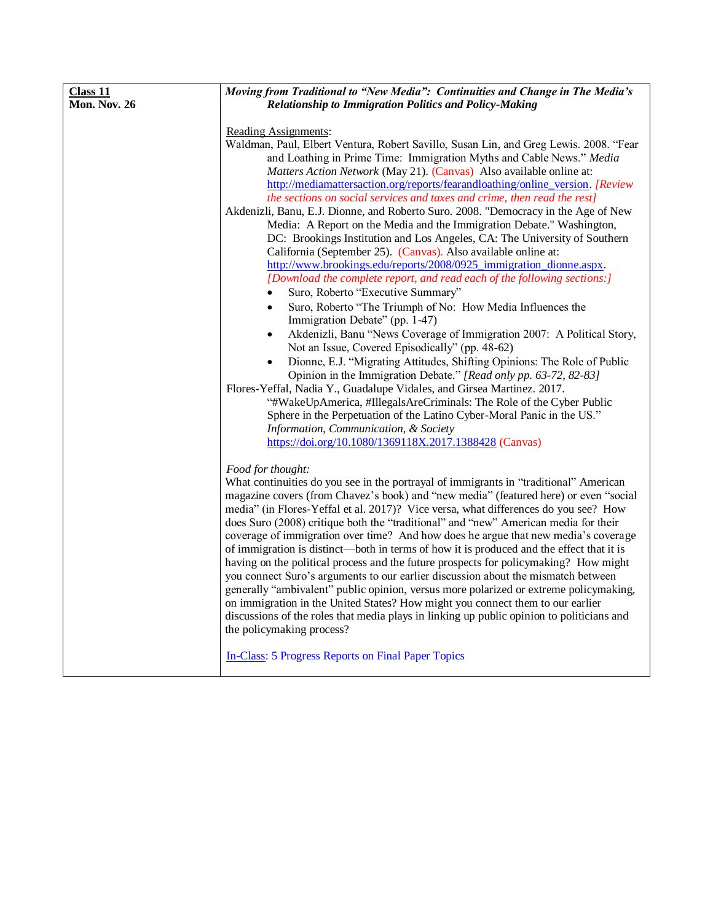| Class 11     | Moving from Traditional to "New Media": Continuities and Change in The Media's                                                                                                                                                                                                                                                                                                                                                                                                                                                                                                                                                                                                                                                                                                                                                                                                                                                                                                                                                                       |
|--------------|------------------------------------------------------------------------------------------------------------------------------------------------------------------------------------------------------------------------------------------------------------------------------------------------------------------------------------------------------------------------------------------------------------------------------------------------------------------------------------------------------------------------------------------------------------------------------------------------------------------------------------------------------------------------------------------------------------------------------------------------------------------------------------------------------------------------------------------------------------------------------------------------------------------------------------------------------------------------------------------------------------------------------------------------------|
| Mon. Nov. 26 |                                                                                                                                                                                                                                                                                                                                                                                                                                                                                                                                                                                                                                                                                                                                                                                                                                                                                                                                                                                                                                                      |
|              | <b>Relationship to Immigration Politics and Policy-Making</b><br>Reading Assignments:<br>Waldman, Paul, Elbert Ventura, Robert Savillo, Susan Lin, and Greg Lewis. 2008. "Fear<br>and Loathing in Prime Time: Immigration Myths and Cable News." Media<br>Matters Action Network (May 21). (Canvas) Also available online at:<br>http://mediamattersaction.org/reports/fearandloathing/online_version. [Review<br>the sections on social services and taxes and crime, then read the rest]<br>Akdenizli, Banu, E.J. Dionne, and Roberto Suro. 2008. "Democracy in the Age of New<br>Media: A Report on the Media and the Immigration Debate." Washington,<br>DC: Brookings Institution and Los Angeles, CA: The University of Southern<br>California (September 25). (Canvas). Also available online at:                                                                                                                                                                                                                                             |
|              | http://www.brookings.edu/reports/2008/0925 immigration dionne.aspx.<br>[Download the complete report, and read each of the following sections:]                                                                                                                                                                                                                                                                                                                                                                                                                                                                                                                                                                                                                                                                                                                                                                                                                                                                                                      |
|              | Suro, Roberto "Executive Summary"                                                                                                                                                                                                                                                                                                                                                                                                                                                                                                                                                                                                                                                                                                                                                                                                                                                                                                                                                                                                                    |
|              | Suro, Roberto "The Triumph of No: How Media Influences the<br>$\bullet$<br>Immigration Debate" (pp. 1-47)                                                                                                                                                                                                                                                                                                                                                                                                                                                                                                                                                                                                                                                                                                                                                                                                                                                                                                                                            |
|              | Akdenizli, Banu "News Coverage of Immigration 2007: A Political Story,<br>$\bullet$<br>Not an Issue, Covered Episodically" (pp. 48-62)                                                                                                                                                                                                                                                                                                                                                                                                                                                                                                                                                                                                                                                                                                                                                                                                                                                                                                               |
|              | Dionne, E.J. "Migrating Attitudes, Shifting Opinions: The Role of Public<br>Opinion in the Immigration Debate." [Read only pp. 63-72, 82-83]<br>Flores-Yeffal, Nadia Y., Guadalupe Vidales, and Girsea Martinez. 2017.<br>"#WakeUpAmerica, #IllegalsAreCriminals: The Role of the Cyber Public                                                                                                                                                                                                                                                                                                                                                                                                                                                                                                                                                                                                                                                                                                                                                       |
|              | Sphere in the Perpetuation of the Latino Cyber-Moral Panic in the US."<br>Information, Communication, & Society<br>https://doi.org/10.1080/1369118X.2017.1388428 (Canvas)                                                                                                                                                                                                                                                                                                                                                                                                                                                                                                                                                                                                                                                                                                                                                                                                                                                                            |
|              |                                                                                                                                                                                                                                                                                                                                                                                                                                                                                                                                                                                                                                                                                                                                                                                                                                                                                                                                                                                                                                                      |
|              | Food for thought:<br>What continuities do you see in the portrayal of immigrants in "traditional" American<br>magazine covers (from Chavez's book) and "new media" (featured here) or even "social<br>media" (in Flores-Yeffal et al. 2017)? Vice versa, what differences do you see? How<br>does Suro (2008) critique both the "traditional" and "new" American media for their<br>coverage of immigration over time? And how does he argue that new media's coverage<br>of immigration is distinct—both in terms of how it is produced and the effect that it is<br>having on the political process and the future prospects for policymaking? How might<br>you connect Suro's arguments to our earlier discussion about the mismatch between<br>generally "ambivalent" public opinion, versus more polarized or extreme policymaking,<br>on immigration in the United States? How might you connect them to our earlier<br>discussions of the roles that media plays in linking up public opinion to politicians and<br>the policymaking process? |
|              | <b>In-Class: 5 Progress Reports on Final Paper Topics</b>                                                                                                                                                                                                                                                                                                                                                                                                                                                                                                                                                                                                                                                                                                                                                                                                                                                                                                                                                                                            |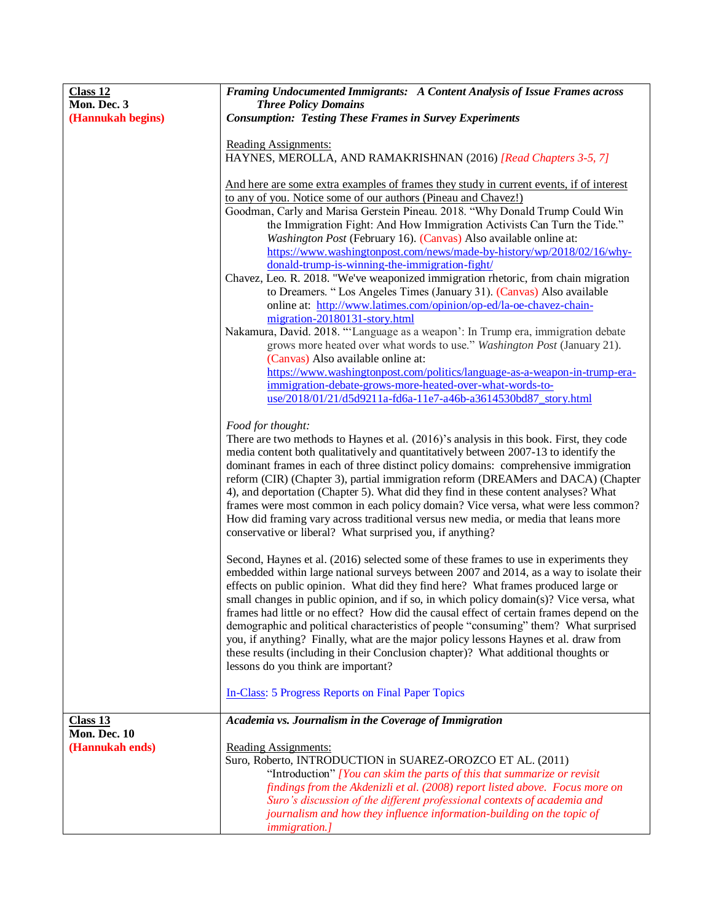| Class 12          | Framing Undocumented Immigrants: A Content Analysis of Issue Frames across                                                                                                           |
|-------------------|--------------------------------------------------------------------------------------------------------------------------------------------------------------------------------------|
| Mon. Dec. 3       | <b>Three Policy Domains</b>                                                                                                                                                          |
| (Hannukah begins) | <b>Consumption: Testing These Frames in Survey Experiments</b>                                                                                                                       |
|                   |                                                                                                                                                                                      |
|                   | <b>Reading Assignments:</b><br>HAYNES, MEROLLA, AND RAMAKRISHNAN (2016) [Read Chapters 3-5, 7]                                                                                       |
|                   |                                                                                                                                                                                      |
|                   | And here are some extra examples of frames they study in current events, if of interest                                                                                              |
|                   | to any of you. Notice some of our authors (Pineau and Chavez!)                                                                                                                       |
|                   | Goodman, Carly and Marisa Gerstein Pineau. 2018. "Why Donald Trump Could Win                                                                                                         |
|                   | the Immigration Fight: And How Immigration Activists Can Turn the Tide."                                                                                                             |
|                   | Washington Post (February 16). (Canvas) Also available online at:                                                                                                                    |
|                   | https://www.washingtonpost.com/news/made-by-history/wp/2018/02/16/why-                                                                                                               |
|                   | donald-trump-is-winning-the-immigration-fight/<br>Chavez, Leo. R. 2018. "We've weaponized immigration rhetoric, from chain migration                                                 |
|                   | to Dreamers. "Los Angeles Times (January 31). (Canvas) Also available                                                                                                                |
|                   | online at: http://www.latimes.com/opinion/op-ed/la-oe-chavez-chain-                                                                                                                  |
|                   | migration-20180131-story.html                                                                                                                                                        |
|                   | Nakamura, David. 2018. "'Language as a weapon': In Trump era, immigration debate                                                                                                     |
|                   | grows more heated over what words to use." Washington Post (January 21).                                                                                                             |
|                   | (Canvas) Also available online at:                                                                                                                                                   |
|                   | https://www.washingtonpost.com/politics/language-as-a-weapon-in-trump-era-                                                                                                           |
|                   | immigration-debate-grows-more-heated-over-what-words-to-<br>use/2018/01/21/d5d9211a-fd6a-11e7-a46b-a3614530bd87_story.html                                                           |
|                   |                                                                                                                                                                                      |
|                   | Food for thought:                                                                                                                                                                    |
|                   | There are two methods to Haynes et al. (2016)'s analysis in this book. First, they code                                                                                              |
|                   | media content both qualitatively and quantitatively between 2007-13 to identify the                                                                                                  |
|                   | dominant frames in each of three distinct policy domains: comprehensive immigration                                                                                                  |
|                   | reform (CIR) (Chapter 3), partial immigration reform (DREAMers and DACA) (Chapter<br>4), and deportation (Chapter 5). What did they find in these content analyses? What             |
|                   | frames were most common in each policy domain? Vice versa, what were less common?                                                                                                    |
|                   | How did framing vary across traditional versus new media, or media that leans more                                                                                                   |
|                   | conservative or liberal? What surprised you, if anything?                                                                                                                            |
|                   |                                                                                                                                                                                      |
|                   | Second, Haynes et al. (2016) selected some of these frames to use in experiments they                                                                                                |
|                   | embedded within large national surveys between 2007 and 2014, as a way to isolate their                                                                                              |
|                   | effects on public opinion. What did they find here? What frames produced large or                                                                                                    |
|                   | small changes in public opinion, and if so, in which policy domain(s)? Vice versa, what<br>frames had little or no effect? How did the causal effect of certain frames depend on the |
|                   | demographic and political characteristics of people "consuming" them? What surprised                                                                                                 |
|                   | you, if anything? Finally, what are the major policy lessons Haynes et al. draw from                                                                                                 |
|                   | these results (including in their Conclusion chapter)? What additional thoughts or                                                                                                   |
|                   | lessons do you think are important?                                                                                                                                                  |
|                   |                                                                                                                                                                                      |
|                   | <b>In-Class: 5 Progress Reports on Final Paper Topics</b>                                                                                                                            |
| Class 13          | Academia vs. Journalism in the Coverage of Immigration                                                                                                                               |
| Mon. Dec. 10      |                                                                                                                                                                                      |
| (Hannukah ends)   | <b>Reading Assignments:</b>                                                                                                                                                          |
|                   | Suro, Roberto, INTRODUCTION in SUAREZ-OROZCO ET AL. (2011)                                                                                                                           |
|                   | "Introduction" [You can skim the parts of this that summarize or revisit"                                                                                                            |
|                   | findings from the Akdenizli et al. (2008) report listed above. Focus more on                                                                                                         |
|                   | Suro's discussion of the different professional contexts of academia and<br>journalism and how they influence information-building on the topic of                                   |
|                   | <i>immigration.]</i>                                                                                                                                                                 |